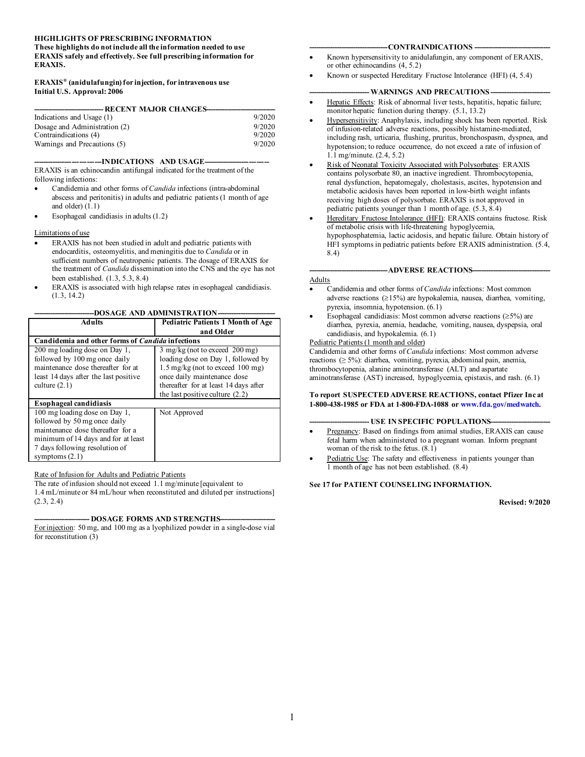#### **HIGHLIGHTS OF PRESCRIBING INFORMATION**

**These highlights do not include all the information needed to use ERAXIS safely and effectively. See full prescribing information for ERAXIS.**

#### **ERAXIS® (anidulafungin) for injection, for intravenous use Initial U.S. Approval: 2006**

| ----------------- RECENT MAJOR CHANGES--------- |        |  |
|-------------------------------------------------|--------|--|
| Indications and Usage (1)                       | 9/2020 |  |
| Dosage and Administration (2)                   | 9/2020 |  |
| Contraindications (4)                           | 9/2020 |  |
| Warnings and Precautions (5)                    | 9/2020 |  |

--INDICATIONS AND USAGE-

ERAXIS is an echinocandin antifungal indicated for the treatment of the following infections:

- Candidemia and other forms of *Candida* infections (intra-abdominal abscess and peritonitis) in adults and pediatric patients (1 month of age and older) (1.1)
- Esophageal candidiasis in adults (1.2)

#### Limitations of use

- ERAXIS has not been studied in adult and pediatric patients with endocarditis, osteomyelitis, and meningitis due to *Candida* or in sufficient numbers of neutropenic patients. The dosage of ERAXIS for the treatment of *Candida* dissemination into the CNS and the eye has not been established. (1.3, 5.3, 8.4)
- ERAXIS is associated with high relapse rates in esophageal candidiasis. (1.3, 14.2)

#### -DOSAGE AND ADMINISTRATION-

| <b>Adults</b>                                           | <b>Pediatric Patients 1 Month of Age</b>              |  |
|---------------------------------------------------------|-------------------------------------------------------|--|
|                                                         | and Older                                             |  |
| Candidemia and other forms of <i>Candida</i> infections |                                                       |  |
| 200 mg loading dose on Day 1,                           | $3 \text{ mg/kg}$ (not to exceed $200 \text{ mg}$ )   |  |
| followed by 100 mg once daily                           | loading dose on Day 1, followed by                    |  |
| maintenance dose thereafter for at                      | $1.5 \text{ mg/kg}$ (not to exceed $100 \text{ mg}$ ) |  |
| least 14 days after the last positive                   | once daily maintenance dose                           |  |
| culture $(2.1)$                                         | thereafter for at least 14 days after                 |  |
|                                                         | the last positive culture $(2.2)$                     |  |
| <b>Esophageal candidiasis</b>                           |                                                       |  |
| 100 mg loading dose on Day 1,                           | Not Approved                                          |  |
| followed by 50 mg once daily                            |                                                       |  |
| maintenance dose thereafter for a                       |                                                       |  |
| minimum of 14 days and for at least                     |                                                       |  |
| 7 days following resolution of                          |                                                       |  |
| symptoms $(2.1)$                                        |                                                       |  |

#### Rate of Infusion for Adults and Pediatric Patients

The rate of infusion should not exceed 1.1 mg/minute [equivalent to 1.4 mL/minute or 84 mL/hour when reconstituted and diluted per instructions] (2.3, 2.4)

-DOSAGE FORMS AND STRENGTHS--For injection: 50 mg, and 100 mg as a lyophilized powder in a single-dose vial for reconstitution (3)

#### $-$ **CONTRAINDICATIONS** --

- Known hypersensitivity to anidulafungin, any component of ERAXIS, or other echinocandins (4, 5.2)
- Known or suspected Hereditary Fructose Intolerance (HFI) (4, 5.4)

#### - **WARNINGS AND PRECAUTIONS** --

- Hepatic Effects: Risk of abnormal liver tests, hepatitis, hepatic failure; monitor hepatic function during therapy.  $(5.1, 13.2)$
- Hypersensitivity: Anaphylaxis, including shock has been reported. Risk of infusion-related adverse reactions, possibly histamine-mediated, including rash, urticaria, flushing, pruritus, bronchospasm, dyspnea, and hypotension; to reduce occurrence, do not exceed a rate of infusion of 1.1 mg/minute. (2.4, 5.2)
- Risk of Neonatal Toxicity Associated with Polysorbates: ERAXIS contains polysorbate 80, an inactive ingredient. Thrombocytopenia, renal dysfunction, hepatomegaly, cholestasis, ascites, hypotension and metabolic acidosis haves been reported in low-birth weight infants receiving high doses of polysorbate. ERAXIS is not approved in pediatric patients younger than 1 month of age. (5.3, 8.4)
- Hereditary Fructose Intolerance (HFI): ERAXIS contains fructose. Risk of metabolic crisis with life-threatening hypoglycemia, hypophosphatemia, lactic acidosis, and hepatic failure. Obtain history of HFI symptoms in pediatric patients before ERAXIS administration. (5.4, 8.4)

-ADVERSE REACTIONS---

#### Adults

- Candidemia and other forms of *Candida* infections: Most common adverse reactions (≥15%) are hypokalemia, nausea, diarrhea, vomiting, pyrexia, insomnia, hypotension. (6.1)
- Esophageal candidiasis: Most common adverse reactions  $(≥5%)$  are diarrhea, pyrexia, anemia, headache, vomiting, nausea, dyspepsia, oral candidiasis, and hypokalemia. (6.1)

#### Pediatric Patients (1 month and older)

Candidemia and other forms of *Candida* infections: Most common adverse reactions (≥ 5%): diarrhea, vomiting, pyrexia, abdominal pain, anemia, thrombocytopenia, alanine aminotransferase (ALT) and aspartate aminotransferase (AST) increased, hypoglycemia, epistaxis, and rash. (6.1)

#### **To report SUSPECTED ADVERSE REACTIONS, contact Pfizer Inc at 1-800-438-1985 or FDA at 1-800-FDA-1088 o[r www.fda.gov/medwatch](http://www.fda.gov/medwatch)***.*

#### **- USE IN SPECIFIC POPULATIONS-**

- Pregnancy: Based on findings from animal studies, ERAXIS can cause fetal harm when administered to a pregnant woman. Inform pregnant woman of the risk to the fetus. (8.1)
- Pediatric Use: The safety and effectiveness in patients younger than 1 month of age has not been established. (8.4)

#### **See 17 for PATIENT COUNSELING INFORMATION.**

**Revised: 9/2020**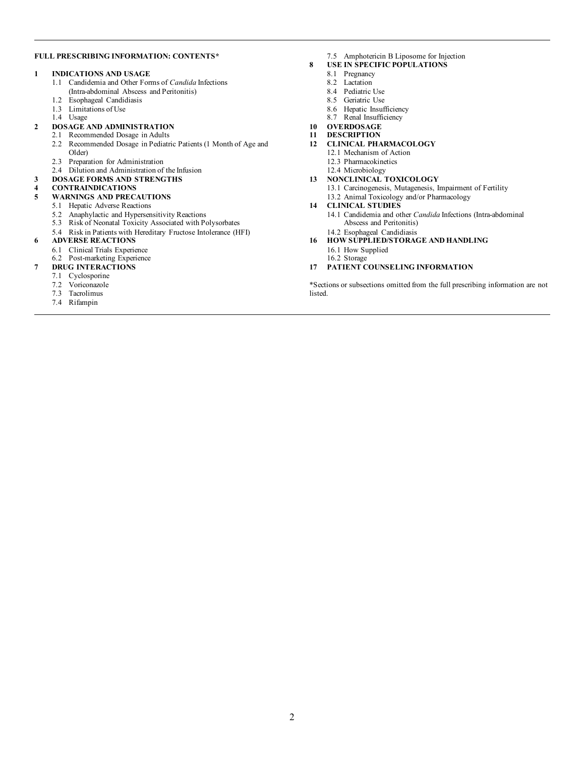#### **FULL PRESCRIBING INFORMATION: CONTENTS\***

#### **1 INDICATIONS AND USAGE**

- 1.1 Candidemia and Other Forms of *Candida* Infections (Intra-abdominal Abscess and Peritonitis)
- 1.2 Esophageal Candidiasis
- 1.3 Limitations of Use
- 1.4 Usage
- **2 DOSAGE AND ADMINISTRATION**
	- 2.1 Recommended Dosage in Adults
		- 2.2 Recommended Dosage in Pediatric Patients (1 Month of Age and Older)
		- 2.3 Preparation for Administration
		- 2.4 Dilution and Administration of the Infusion
- **3 DOSAGE FORMS AND STRENGTHS**

# **4 CONTRAINDICATIONS**

#### **5 WARNINGS AND PRECAUTIONS**

- 5.1 Hepatic Adverse Reactions
- 5.2 Anaphylactic and Hypersensitivity Reactions
- 5.3 Risk of Neonatal Toxicity Associated with Polysorbates
- 5.4 Risk in Patients with Hereditary Fructose Intolerance (HFI)

#### **6 ADVERSE REACTIONS**

- 6.1 Clinical Trials Experience
	- 6.2 Post-marketing Experience

#### **7 DRUG INTERACTIONS**

- 7.1 Cyclosporine
- 7.2 Voriconazole
- 7.3 Tacrolimus
- 7.4 Rifampin
- 7.5 Amphotericin B Liposome for Injection
- **8 USE IN SPECIFIC POPULATIONS**
	- 8.1 Pregnancy
	- 8.2 Lactation
	- 8.4 Pediatric Use
	- 8.5 Geriatric Use
	- 8.6 Hepatic Insufficiency
	- 8.7 Renal Insufficiency
- **10 OVERDOSAGE**
- **11 DESCRIPTION**

#### **12 CLINICAL PHARMACOLOGY**

- 12.1 Mechanism of Action
- 12.3 Pharmacokinetics
- 12.4 Microbiology

#### **13 NONCLINICAL TOXICOLOGY**

13.1 Carcinogenesis, Mutagenesis, Impairment of Fertility 13.2 Animal Toxicology and/or Pharmacology

#### **14 CLINICAL STUDIES**

- 14.1 Candidemia and other *Candida* Infections (Intra-abdominal Abscess and Peritonitis)
- 14.2 Esophageal Candidiasis

#### **16 HOW SUPPLIED/STORAGE AND HANDLING** 16.1 How Supplied

- 
- 16.2 Storage

#### **17 PATIENT COUNSELING INFORMATION**

\*Sections or subsections omitted from the full prescribing information are not listed.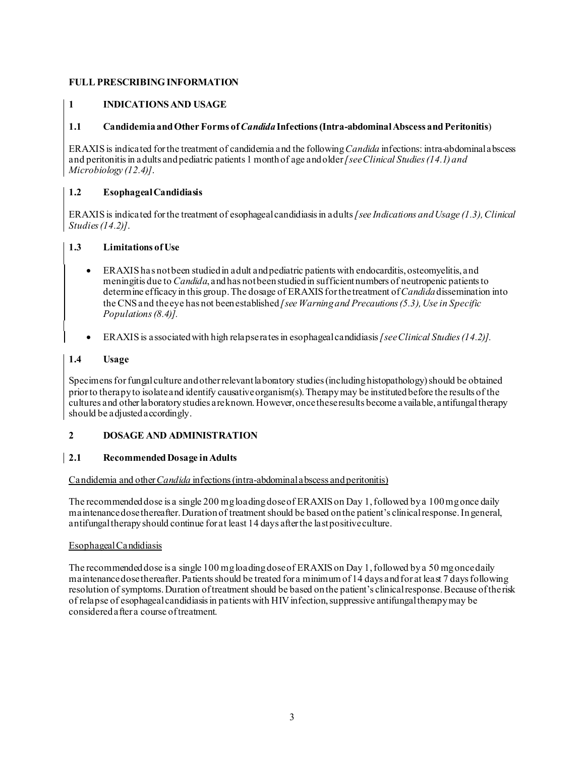### **FULL PRESCRIBING INFORMATION**

### **1 INDICATIONS AND USAGE**

#### **1.1 Candidemia and Other Forms of** *Candida***Infections (Intra-abdominal Abscess and Peritonitis**)

ERAXIS is indicated for the treatment of candidemia and the following *Candida* infections: intra-abdominal abscess and peritonitisin adults and pediatric patients 1 month of age and older*[see Clinical Studies(14.1) and Microbiology (12.4)]*.

### **1.2 Esophageal Candidiasis**

ERAXIS is indicated for the treatment of esophageal candidiasis in adults*[see Indications and Usage (1.3),Clinical Studies (14.2)]*.

#### **1.3 Limitations ofUse**

- ERAXIS has not been studied in adult and pediatric patients with endocarditis, osteomyelitis, and meningitis due to *Candida*, and has not been studied in sufficient numbers of neutropenic patients to determine efficacy in this group.The dosage of ERAXIS for the treatment of*Candida*dissemination into the CNS and the eye has not been established *[see Warning and Precautions (5.3), Use in Specific Populations (8.4)].*
- ERAXIS is associated with high relapse rates in esophageal candidiasis*[see Clinical Studies (14.2)].*

### **1.4 Usage**

Specimens for fungal culture and other relevant laboratory studies (including histopathology) should be obtained prior to therapy to isolate and identify causative organism(s). Therapy may be instituted before the results of the cultures and other laboratory studies are known. However, once these results become available, antifungal therapy should be adjusted accordingly.

#### **2 DOSAGE AND ADMINISTRATION**

### **2.1 Recommended Dosage in Adults**

#### Candidemia and other *Candida* infections(intra-abdominal abscess and peritonitis)

The recommended dose is a single 200 mg loading dose of ERAXIS on Day 1, followed by a 100 mgonce daily maintenance dose thereafter. Duration of treatment should be based on the patient's clinical response. Ingeneral, antifungal therapy should continue for at least 14 days afterthe last positive culture.

#### Esophageal Candidiasis

The recommended dose is a single 100 mg loading dose of ERAXIS on Day 1, followed by a 50 mg once daily maintenance dose thereafter. Patients should be treated for a minimum of 14 days and for at least 7 days following resolution of symptoms. Duration of treatment should be based on the patient's clinical response. Because of the risk of relapse of esophagealcandidiasis in patients with HIV infection, suppressive antifungal therapy may be considered after a course of treatment.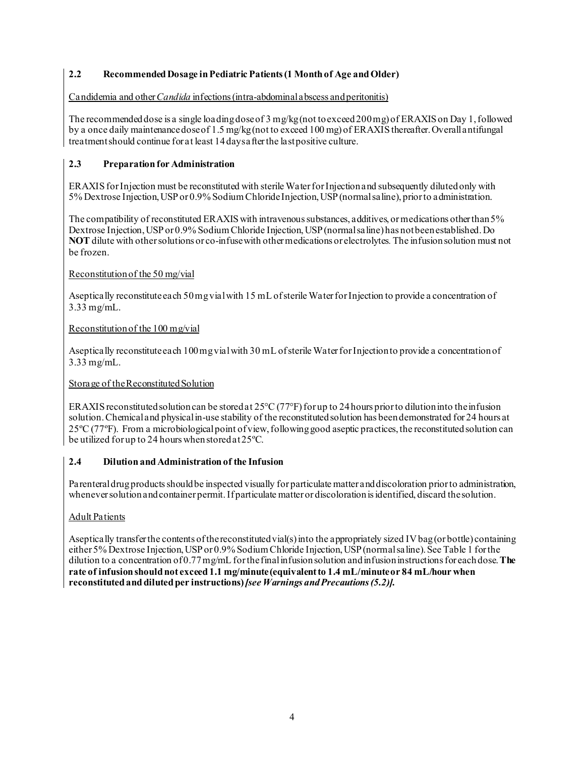### **2.2 Recommended Dosage in Pediatric Patients (1 Month of Age andOlder)**

Candidemia and other *Candida* infections (intra-abdominal abscess and peritonitis)

The recommended dose is a single loading dose of 3 mg/kg(not to exceed 200mg) of ERAXIS on Day 1, followed by a once daily maintenance dose of 1.5 mg/kg (not to exceed 100 mg) of ERAXIS thereafter. Overall antifungal treatment should continue for at least 14days after the last positive culture.

### **2.3 Preparation for Administration**

ERAXIS for Injection must be reconstituted with sterile Water for Injection and subsequently dilutedonly with 5% Dextrose Injection,USP or 0.9% Sodium ChlorideInjection, USP (normal saline), prior to administration.

The compatibility of reconstituted ERAXIS with intravenous substances, additives, or medications other than 5% Dextrose Injection, USP or 0.9% Sodium Chloride Injection, USP (normal saline) has notbeen established. Do **NOT** dilute with other solutions or co-infusewith other medications or electrolytes*.* The infusion solution must not be frozen.

### Reconstitution of the 50 mg/vial

Aseptically reconstitute each 50mg vialwith 15 mL of sterile Water forInjection to provide a concentration of 3.33 mg/mL.

### Reconstitution of the 100 mg/vial

Aseptically reconstitute each 100 mg vial with 30 mL of sterile Water for Injection to provide a concentration of 3.33 mg/mL.

#### Storage of the Reconstituted Solution

ERAXIS reconstituted solution can be stored at 25°C (77°F) for up to 24 hours prior to dilution into the infusion solution. Chemical and physicalin-use stability of the reconstituted solution has beendemonstrated for 24 hours at 25ºC (77ºF). From a microbiological point of view, following good aseptic practices, the reconstituted solution can be utilized for up to 24 hours when storedat 25ºC.

#### **2.4 Dilution and Administration of the Infusion**

Parenteral drug products should be inspected visually for particulate matter and discoloration prior to administration, whenever solution and container permit. If particulate matter or discoloration is identified, discard the solution.

#### Adult Patients

Aseptically transfer the contents of the reconstituted vial(s) into the appropriately sized IV bag (or bottle) containing either 5% Dextrose Injection, USP or 0.9% Sodium Chloride Injection, USP (normal saline). See Table 1 for the dilution to a concentration of 0.77mg/mL forthefinal infusion solution and infusion instructions for each dose. **The rate of infusion should not exceed 1.1 mg/minute (equivalent to 1.4 mL/minute or 84 mL/hour when reconstituted and diluted per instructions)***[see Warnings and Precautions(5.2)].*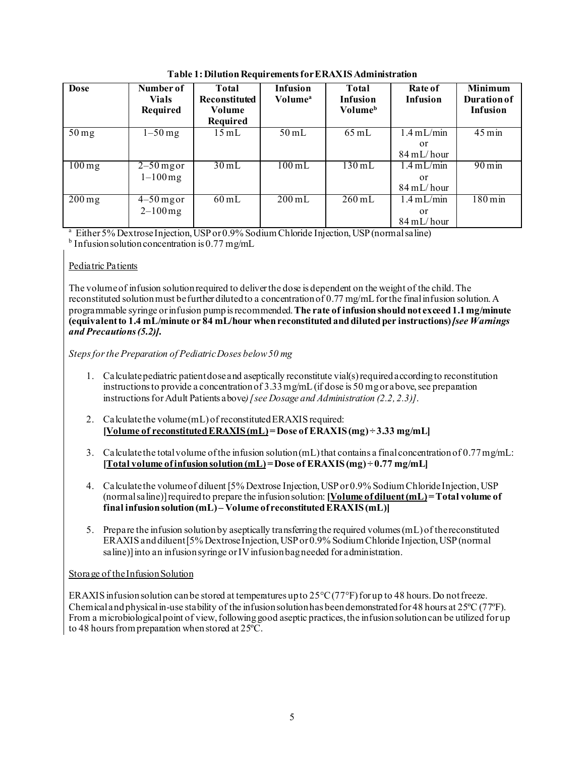| <b>Dose</b>         | Number of<br><b>Vials</b><br>Required   | Total<br><b>Reconstituted</b><br>Volume<br>Required | Infusion<br><b>Volume</b> <sup>a</sup> | Total<br><b>Infusion</b><br><b>Volume</b> <sup>b</sup> | Rate of<br><b>Infusion</b>                            | <b>Minimum</b><br><b>Duration of</b><br><b>Infusion</b> |
|---------------------|-----------------------------------------|-----------------------------------------------------|----------------------------------------|--------------------------------------------------------|-------------------------------------------------------|---------------------------------------------------------|
| $50 \,\mathrm{mg}$  | $1-50$ mg                               | $15 \text{ mL}$                                     | $50 \text{ mL}$                        | $65 \text{ mL}$                                        | $1.4$ mL/min<br>or<br>$84 \text{ mL/hour}$            | $45 \,\mathrm{min}$                                     |
| $100 \,\mathrm{mg}$ | $2-50$ mg or<br>$1 - 100$ mg            | $30 \text{ mL}$                                     | $100 \text{ mL}$                       | $130 \text{ mL}$                                       | $1.4 \text{ mL/min}$<br>or<br>$84 \text{ mL/hour}$    | $90 \,\mathrm{min}$                                     |
| $\overline{200}$ mg | $\overline{4-50}$ mg or<br>$2 - 100$ mg | $60 \text{ mL}$                                     | $200 \text{ mL}$                       | $260 \text{ mL}$                                       | $1.4$ mL/min<br><sub>or</sub><br>$84 \text{ mL/hour}$ | $180 \,\mathrm{min}$                                    |

**Table 1:Dilution Requirements for ERAXISAdministration**

a Either 5% Dextrose Injection, USP or 0.9% SodiumChloride Injection, USP (normal saline)

 $<sup>b</sup>$  Infusion solution concentration is 0.77 mg/mL</sup>

## Pediatric Patients

The volume of infusion solution required to deliver the dose is dependent on the weight of the child. The reconstituted solution must befurther dilutedto a concentration of 0.77 mg/mL forthe final infusion solution. A programmable syringe or infusion pump is recommended.**The rate of infusionshould not exceed 1.1 mg/minute (equivalent to 1.4 mL/minute or 84 mL/hour when reconstituted and diluted per instructions)***[see Warnings and Precautions (5.2)]***.**

*Steps for the Preparation of Pediatric Doses below 50 mg*

- 1. Calculate pediatric patient dose and aseptically reconstitute vial(s) required according to reconstitution instructions to provide a concentration of 3.33 mg/mL (if dose is 50 mg or above, see preparation instructions for Adult Patients above*)[see Dosage and Administration (2.2, 2.3)]*.
- 2. Calculate the volume (mL) of reconstituted ERAXIS required: **[Volume of reconstituted ERAXIS(mL)= Dose of ERAXIS(mg) ÷ 3.33 mg/mL]**
- 3. Calculate the totalvolume of the infusion solution (mL) that contains a final concentration of 0.77mg/mL: **[Total volume of infusionsolution (mL)= Dose of ERAXIS(mg) ÷ 0.77 mg/mL]**
- 4. Calculate the volume of diluent [5% Dextrose Injection, USP or 0.9% Sodium Chloride Injection, USP (normal saline)] required to prepare the infusionsolution: **[Volume of diluent (mL)= Total volume of** final infusion solution (mL) – Volume of reconstituted ERAXIS (mL)]
- 5. Prepare the infusion solution by aseptically transferringthe required volumes (mL) of the reconstituted ERAXISand diluent [5% Dextrose Injection, USP or 0.9% Sodium Chloride Injection, USP (normal saline)] into an infusion syringe or IV infusion bag needed for administration.

## Storage of theInfusion Solution

ERAXIS infusion solution can be stored at temperatures up to  $25^{\circ}C(77^{\circ}F)$  for up to 48 hours. Do not freeze. Chemical and physical in-use stability of the infusion solution has been demonstrated for 48 hours at  $25^{\circ}C(77^{\circ}F)$ . From a microbiological point of view, following good aseptic practices, the infusion solution can be utilized for up to 48 hours from preparation when stored at 25ºC.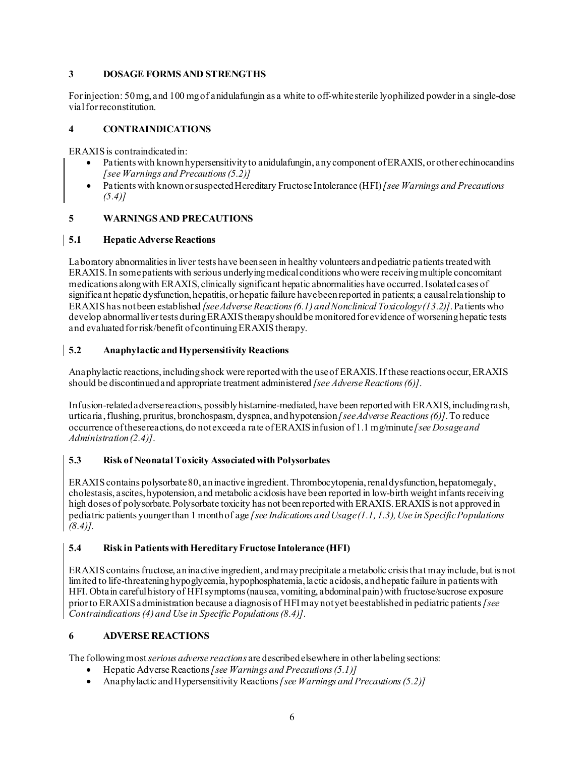### **3 DOSAGE FORMS AND STRENGTHS**

For injection: 50 mg, and 100 mgof anidulafungin as a white to off-white sterile lyophilized powder in a single-dose vialfor reconstitution.

### **4 CONTRAINDICATIONS**

ERAXIS is contraindicated in:

- Patients with known hypersensitivity to anidulafungin, any component of ERAXIS, or other echinocandins *[see Warnings and Precautions (5.2)]*
- Patients with known or suspected Hereditary Fructose Intolerance (HFI) *[see Warnings and Precautions (5.4)]*

#### **5 WARNINGS AND PRECAUTIONS**

#### **5.1 Hepatic Adverse Reactions**

Laboratory abnormalities in liver tests have been seen in healthy volunteers and pediatric patients treated with ERAXIS. In some patients with serious underlying medicalconditions who were receiving multiple concomitant medications along with ERAXIS, clinically significant hepatic abnormalities have occurred. Isolated cases of significant hepatic dysfunction, hepatitis, or hepatic failure have been reported in patients; a causal relationship to ERAXIS has not been established *[see Adverse Reactions (6.1) and Nonclinical Toxicology (13.2)]*.Patients who develop abnormal liver tests during ERAXIS therapy should be monitored for evidence of worsening hepatic tests and evaluated for risk/benefit of continuing ERAXIS therapy.

#### **5.2 Anaphylactic andHypersensitivity Reactions**

Anaphylactic reactions, including shock were reported with the use of ERAXIS. If these reactions occur, ERAXIS should be discontinued and appropriate treatment administered *[see Adverse Reactions (6)]*.

Infusion-related adverse reactions, possiblyhistamine-mediated, have been reportedwith ERAXIS, including rash, urticaria, flushing, pruritus, bronchospasm, dyspnea, and hypotension*[see Adverse Reactions (6)]*.To reduce occurrence of these reactions, do notexceed a rate of ERAXIS infusion of 1.1 mg/minute *[see Dosage and Administration (2.4)]*.

#### **5.3 Risk of Neonatal Toxicity Associated with Polysorbates**

ERAXIS contains polysorbate 80, an inactive ingredient. Thrombocytopenia, renal dysfunction, hepatomegaly, cholestasis, ascites, hypotension, and metabolic acidosis have been reported in low-birth weight infants receiving high doses of polysorbate. Polysorbate toxicity has not been reported with ERAXIS. ERAXIS is not approved in pediatric patients younger than 1 month of age *[see Indications and Usage (1.1, 1.3), Use in Specific Populations (8.4)].*

#### **5.4 Risk in Patients with Hereditary Fructose Intolerance (HFI)**

ERAXIS contains fructose, an inactive ingredient, and may precipitate a metabolic crisisthat may include, but is not limited to life-threatening hypoglycemia, hypophosphatemia, lactic acidosis, and hepatic failure in patients with HFI.Obtain careful history of HFI symptoms (nausea, vomiting, abdominal pain)with fructose/sucrose exposure prior to ERAXIS administration because a diagnosis of HFI may not yet be established in pediatric patients*[see Contraindications (4) and Use in Specific Populations (8.4)]*.

#### **6 ADVERSE REACTIONS**

The following most*serious adverse reactions* are described elsewhere in otherlabelingsections:

- Hepatic Adverse Reactions*[see Warnings and Precautions (5.1)]*
- Anaphylactic andHypersensitivity Reactions*[see Warnings and Precautions (5.2)]*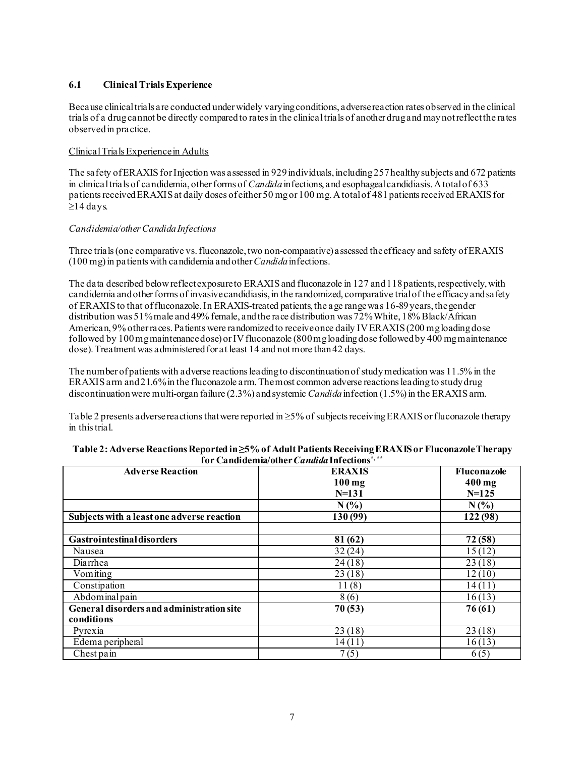#### **6.1 Clinical TrialsExperience**

Because clinical trials are conducted under widely varying conditions, adverse reaction rates observed in the clinical trials of a drugcannot be directly compared to rates in the clinical trials of another drug and may not reflect the rates observed in practice.

#### Clinical Trials Experience in Adults

The safety of ERAXIS for Injection was assessed in 929 individuals, including 257 healthy subjects and 672 patients in clinicaltrials of candidemia, other forms of *Candida*infections, and esophageal candidiasis. A total of 633 patients received ERAXIS at daily doses of either 50 mg or 100 mg.A total of 481 patients received ERAXIS for ≥14 days.

#### *Candidemia/other Candida Infections*

Three trials(one comparative vs. fluconazole, two non-comparative) assessed theefficacy and safety of ERAXIS (100 mg) in patients with candidemia and other *Candida* infections.

The data described below reflect exposure to ERAXIS and fluconazole in 127 and 118 patients, respectively, with candidemia and other forms of invasive candidiasis, in the randomized, comparative trial of the efficacy and safety of ERAXISto that of fluconazole. In ERAXIS-treated patients, the age range was 16-89 years, the gender distribution was 51% male and 49% female, andthe race distribution was 72% White, 18% Black/African American, 9% other races. Patients were randomized to receive once daily IV ERAXIS (200 mg loading dose followed by 100mg maintenancedose) or IV fluconazole (800 mg loading dose followed by 400 mg maintenance dose). Treatment was administered for at least 14 and not more than 42 days.

The number of patients with adverse reactions leading to discontinuation of study medication was 11.5% in the ERAXIS arm and 21.6% in the fluconazole arm. The most common adverse reactionsleading to study drug discontinuation were multi-organ failure (2.3%) and systemic *Candida* infection (1.5%) in the ERAXIS arm.

Table 2 presents adverse reactionsthat were reported in ≥5% of subjects receiving ERAXISor fluconazole therapy in this trial.

| <b>Adverse Reaction</b>                    | <b>ERAXIS</b> | Fluconazole          |
|--------------------------------------------|---------------|----------------------|
|                                            | $100$ mg      | $400$ mg             |
|                                            | $N = 131$     | $N = 125$            |
|                                            | N(%           | N(%                  |
| Subjects with a least one adverse reaction | 130 (99)      | $\overline{1}22(98)$ |
|                                            |               |                      |
| <b>Gastrointestinal disorders</b>          | 81(62)        | 72 (58)              |
| Nausea                                     | 32(24)        | 15(12)               |
| Diarrhea                                   | 24(18)        | 23(18)               |
| Vomiting                                   | 23(18)        | 12(10)               |
| Constipation                               | 11(8)         | 14(11)               |
| Abdominalpain                              | 8(6)          | 16(13)               |
| General disorders and administration site  | 70(53)        | 76 (61)              |
| conditions                                 |               |                      |
| Pyrexia                                    | 23(18)        | 23(18)               |
| Edema peripheral                           | 14(11)        | 16(13)               |
| Chest pain                                 | 7(5)          | 6(5)                 |

| Table 2: Adverse Reactions Reported in ≥5% of Adult Patients Receiving ERAXIS or Fluconazole Therapy |  |
|------------------------------------------------------------------------------------------------------|--|
| for Candidemia/other <i>Candida</i> Infections <sup>*,**</sup>                                       |  |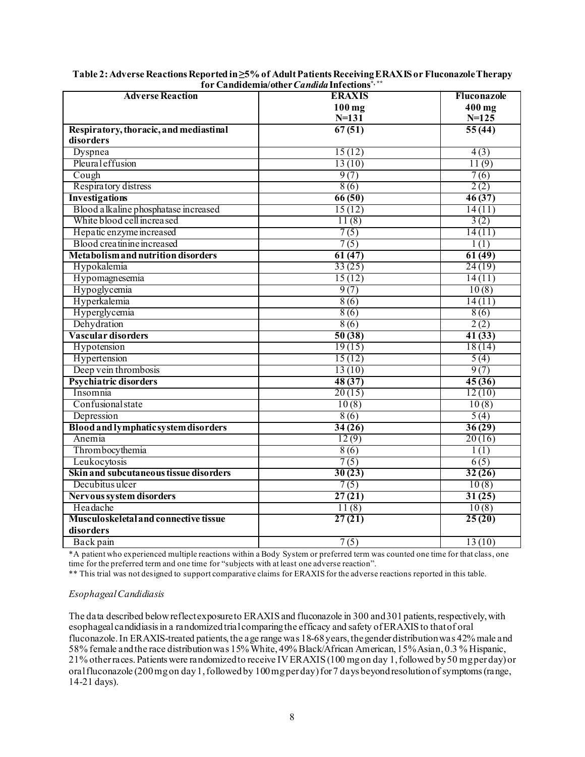| <b>Adverse Reaction</b>                   | <b>ERAXIS</b> | Fluconazole |
|-------------------------------------------|---------------|-------------|
|                                           | $100$ mg      | 400 mg      |
|                                           | $N = 131$     | $N = 125$   |
| Respiratory, thoracic, and mediastinal    | 67(51)        | 55(44)      |
| disorders                                 |               |             |
| Dyspnea                                   | 15(12)        | 4(3)        |
| Pleural effusion                          | 13(10)        | 11(9)       |
| Cough                                     | 9(7)          | 7(6)        |
| Respiratory distress                      | 8(6)          | 2(2)        |
| Investigations                            | 66(50)        | 46(37)      |
| Blood a lkaline phosphatase increased     | 15(12)        | 14(11)      |
| White blood cell increased                | 11(8)         | 3(2)        |
| Hepatic enzyme increased                  | 7(5)          | 14(11)      |
| Blood creatinine increased                | 7(5)          | 1(1)        |
| <b>Metabolism and nutrition disorders</b> | 61(47)        | 61(49)      |
| Hypokalemia                               | 33(25)        | 24(19)      |
| Hypomagnesemia                            | 15(12)        | 14(11)      |
| Hypoglycemia                              | 9(7)          | 10(8)       |
| Hyperkalemia                              | 8(6)          | 14(11)      |
| Hyperglycemia                             | 8(6)          | 8(6)        |
| Dehydration                               | 8(6)          | 2(2)        |
| Vascular disorders                        | 50(38)        | 41(33)      |
| Hypotension                               | 19(15)        | 18(14)      |
| Hypertension                              | 15(12)        | 5(4)        |
| Deep vein thrombosis                      | 13(10)        | 9(7)        |
| <b>Psychiatric disorders</b>              | 48(37)        | 45(36)      |
| Insomnia                                  | 20(15)        | 12(10)      |
| Confusional state                         | 10(8)         | 10(8)       |
| Depression                                | 8(6)          | 5(4)        |
| Blood and lymphatic system disorders      | 34(26)        | 36(29)      |
| Anemia                                    | 12(9)         | 20(16)      |
| Thrombocythemia                           | 8(6)          | 1(1)        |
| Leukocytosis                              | 7(5)          | 6(5)        |
| Skin and subcutaneous tissue disorders    | 30(23)        | 32(26)      |
| Decubitus ulcer                           | 7(5)          | 10(8)       |
| Nervous system disorders                  | 27(21)        | 31(25)      |
| Headache                                  | 11(8)         | 10(8)       |
| Musculoskeletal and connective tissue     | 27(21)        | 25(20)      |
| disorders                                 |               |             |
| Back pain                                 | 7(5)          | 13(10)      |

| Table 2: Adverse Reactions Reported in $\geq$ 5% of Adult Patients Receiving ERAXIS or Fluconazole Therapy |
|------------------------------------------------------------------------------------------------------------|
| for Candidemia/other <i>Candida</i> Infections <sup>*,**</sup>                                             |

\*A patient who experienced multiple reactions within a Body System or preferred term was counted one time for that class, one time for the preferred term and one time for "subjects with at least one adverse reaction".

\*\* This trial was not designed to support comparative claims for ERAXIS for the adverse reactions reported in this table.

#### *Esophageal Candidiasis*

The data described below reflect exposure to ERAXIS and fluconazole in 300 and 301 patients, respectively, with esophageal candidiasis in a randomized trial comparing the efficacy and safety of ERAXIS to that of oral fluconazole. In ERAXIS-treated patients, the age range was 18-68 years, the gender distribution was 42% male and 58% female and the race distribution was 15% White, 49% Black/African American, 15% Asian, 0.3 % Hispanic, 21% otherraces. Patients were randomized to receive IV ERAXIS (100 mg on day 1, followed by 50 mg per day) or oralfluconazole (200 mg on day 1, followed by 100 mg per day) for 7 days beyond resolution of symptoms (range, 14-21 days).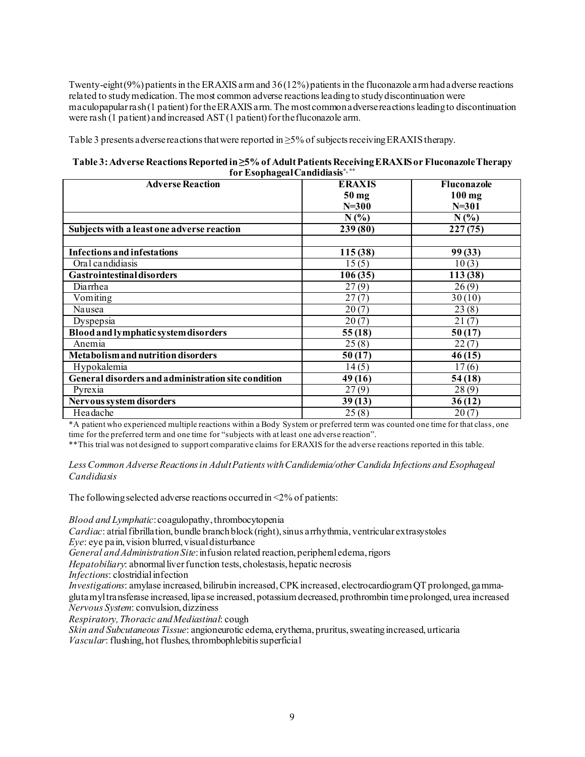Twenty-eight (9%) patients in the ERAXIS arm and 36 (12%) patients in the fluconazole arm had adverse reactions related to study medication. The most common adverse reactions leading to study discontinuation were maculopapular rash (1 patient) for the ERAXIS arm. The most common adverse reactions leading to discontinuation were rash (1 patient) and increased  $AST(1 patient)$  for the fluconazole arm.

Table 3 presents adverse reactions that were reported in  $\geq$ 5% of subjects receiving ERAXIS therapy.

#### **Table 3:Adverse Reactions Reported in ≥5% of Adult Patients Receiving ERAXIS or Fluconazole Therapy for Esophageal Candidiasis\*, \*\***

| <b>Adverse Reaction</b>                             | <b>ERAXIS</b>    | Fluconazole |
|-----------------------------------------------------|------------------|-------------|
|                                                     | 50 <sub>mg</sub> | $100$ mg    |
|                                                     | $N=300$          | $N = 301$   |
|                                                     | N(%)             | $N(\%)$     |
| Subjects with a least one adverse reaction          | 239(80)          | 227(75)     |
|                                                     |                  |             |
| <b>Infections and infestations</b>                  | 115 (38)         | 99(33)      |
| Oral candidiasis                                    | 15(5)            | 10(3)       |
| <b>Gastrointestinal disorders</b>                   | 106(35)          | 113 (38)    |
| Diarrhea                                            | 27(9)            | 26(9)       |
| Vomiting                                            | 27(7)            | 30(10)      |
| Nausea                                              | 20(7)            | 23(8)       |
| Dyspepsia                                           | 20(7)            | 21(7)       |
| Blood and lymphatic system disorders                | 55(18)           | 50(17)      |
| Anemia                                              | 25(8)            | 22(7)       |
| Metabolism and nutrition disorders                  | 50(17)           | 46(15)      |
| Hypokalemia                                         | 14(5)            | 17(6)       |
| General disorders and administration site condition | 49(16)           | 54(18)      |
| Pyrexia                                             | 27(9)            | 28(9)       |
| Nervous system disorders                            | 39(13)           | 36(12)      |
| Headache                                            | 25(8)            | 20(7)       |

\*A patient who experienced multiple reactions within a Body System or preferred term was counted one time for that class, one time for the preferred term and one time for "subjects with at least one adverse reaction".

\*\*This trial was not designed to support comparative claims for ERAXIS for the adverse reactions reported in this table.

Less Common Adverse Reactions in Adult Patients with Candidemia/other Candida Infections and Esophageal *Candidiasis* 

The following selected adverse reactions occurred in  $\leq 2\%$  of patients:

*Blood and Lymphatic*: coagulopathy, thrombocytopenia

*Cardiac*: atrial fibrillation, bundle branch block(right), sinus arrhythmia, ventricular extrasystoles

*Eye*: eye pain, vision blurred, visual disturbance

*General and Administration Site*: infusion related reaction, peripheral edema, rigors

*Hepatobiliary*: abnormal liver function tests, cholestasis, hepatic necrosis

*Infections*: clostridial infection

*Investigations*: amylase increased, bilirubin increased, CPK increased, electrocardiogram QT prolonged, gammaglutamyl transferase increased, lipase increased, potassium decreased, prothrombin time prolonged, urea increased *Nervous System*: convulsion, dizziness

*Respiratory, Thoracic and Mediastinal*: cough

*Skin and Subcutaneous Tissue*: angioneurotic edema, erythema, pruritus, sweating increased, urticaria *Vascular*: flushing, hot flushes, thrombophlebitis superficial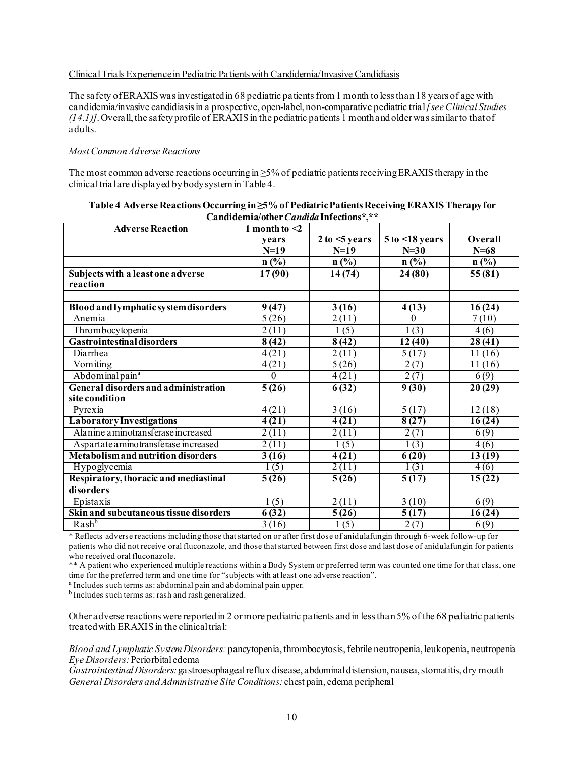#### Clinical Trials Experience in Pediatric Patients with Candidemia/Invasive Candidiasis

The safety of ERAXIS was investigated in 68 pediatric patients from 1 month to less than 18 years of age with candidemia/invasive candidiasisin a prospective, open-label, non-comparative pediatric trial*[see Clinical Studies (14.1)*]. Overall, the safety profile of ERAXIS in the pediatric patients 1 month and older was similar to that of adults.

#### *Most Common Adverse Reactions*

The most common adverse reactions occurring in  $\geq$ 5% of pediatric patients receiving ERAXIS therapy in the clinical trial are displayed by body system in Table 4.

| <b>Adverse Reaction</b>                   | , санатасним опісі с <i>инвим</i> інгеспоня<br>1 month to $\leq 2$ |                |                 |                     |
|-------------------------------------------|--------------------------------------------------------------------|----------------|-----------------|---------------------|
|                                           | vears                                                              | 2 to < 5 years | 5 to < 18 years | Overall             |
|                                           | $N=19$                                                             | $N=19$         | $N=30$          | $N=68$              |
|                                           | $n$ (%)                                                            | $n$ (%)        | $n$ (%)         | $n$ (%)             |
| Subjects with a least one adverse         | 17(90)                                                             | 14(74)         | 24(80)          | 55(81)              |
| reaction                                  |                                                                    |                |                 |                     |
|                                           |                                                                    |                |                 |                     |
| Blood and lymphatic system disorders      | 9(47)                                                              | 3(16)          | 4(13)           | 16(24)              |
| Anemia                                    | $\overline{5}(26)$                                                 | 2(11)          | $\mathbf{0}$    | 7(10)               |
| Thrombocytopenia                          | 2(11)                                                              | 1(5)           | 1(3)            | 4(6)                |
| <b>Gastrointestinal disorders</b>         | 8(42)                                                              | 8(42)          | 12(40)          | 28(41)              |
| Diarrhea                                  | 4(21)                                                              | 2(11)          | 5(17)           | 11(16)              |
| Vomiting                                  | 4(21)                                                              | 5(26)          | 2(7)            | 11(16)              |
| Abdominal pain <sup>a</sup>               | $\mathbf{0}$                                                       | 4(21)          | 2(7)            | 6(9)                |
| General disorders and administration      | 5(26)                                                              | 6(32)          | 9(30)           | 20(29)              |
| site condition                            |                                                                    |                |                 |                     |
| Pyrexia                                   | 4(21)                                                              | 3(16)          | 5(17)           | 12(18)              |
| <b>Laboratory Investigations</b>          | 4(21)                                                              | 4(21)          | 8(27)           | 16(24)              |
| Alanine aminotransferase increased        | 2(11)                                                              | 2(11)          | 2(7)            | 6(9)                |
| Aspartate a minotransferase increased     | 2(11)                                                              | 1(5)           | 1(3)            | 4(6)                |
| <b>Metabolism and nutrition disorders</b> | 3(16)                                                              | 4(21)          | 6(20)           | 13(19)              |
| Hypoglycemia                              | 1(5)                                                               | 2(11)          | 1(3)            | 4(6)                |
| Respiratory, thoracic and mediastinal     | 5(26)                                                              | 5(26)          | 5(17)           | $\overline{15(22)}$ |
| disorders                                 |                                                                    |                |                 |                     |
| Epistaxis                                 | 1(5)                                                               | 2(11)          | 3(10)           | 6(9)                |
| Skin and subcutaneous tissue disorders    | 6(32)                                                              | 5(26)          | 5(17)           | 16(24)              |
| Rash <sup>b</sup>                         | 3(16)                                                              | 1(5)           | 2(7)            | 6(9)                |

| Table 4 Adverse Reactions Occurring in ≥5% of Pediatric Patients Receiving ERAXIS Therapy for |
|-----------------------------------------------------------------------------------------------|
| Candidemia/other <i>Candida</i> Infections*,**                                                |

\* Reflects adverse reactions including those that started on or after first dose of anidulafungin through 6-week follow-up for patients who did not receive oral fluconazole, and those that started between first dose and last dose of anidulafungin for patients who received oral fluconazole.

\*\* A patient who experienced multiple reactions within a Body System or preferred term was counted one time for that class, one time for the preferred term and one time for "subjects with at least one adverse reaction".

a Includes such terms as: abdominal pain and abdominal pain upper.

b Includes such terms as: rash and rash generalized.

Other adverse reactions were reported in 2 or more pediatric patients and in less than 5% of the 68 pediatric patients treated with ERAXIS in the clinical trial:

*Blood and Lymphatic System Disorders:* pancytopenia,thrombocytosis, febrile neutropenia, leukopenia, neutropenia *Eye Disorders:*Periorbital edema

*Gastrointestinal Disorders:* gastroesophageal reflux disease, abdominal distension, nausea, stomatitis, dry mouth *General Disorders and Administrative Site Conditions:* chest pain, edema peripheral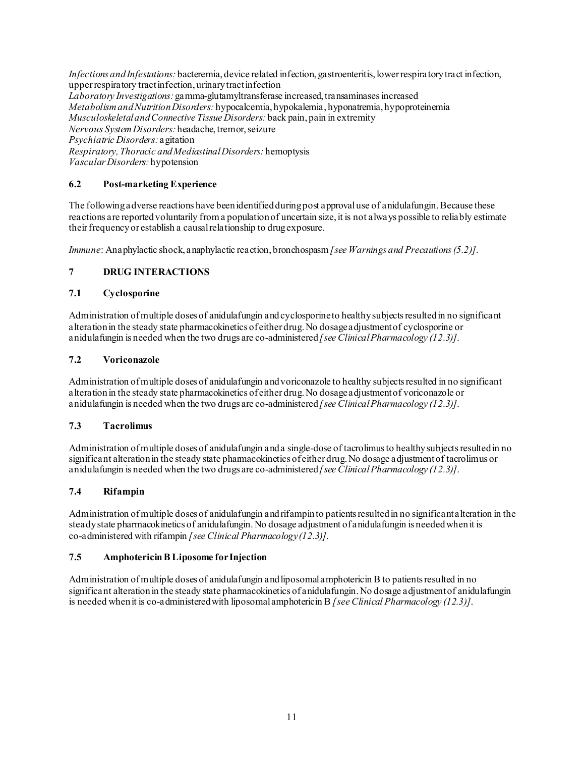*Infections and Infestations:* bacteremia, device related infection, gastroenteritis, lower respiratory tract infection, upper respiratory tract infection, urinary tract infection *Laboratory Investigations:* gamma-glutamyltransferase increased, transaminases increased *Metabolism and Nutrition Disorders:* hypocalcemia, hypokalemia, hyponatremia, hypoproteinemia *Musculoskeletal and Connective Tissue Disorders:* back pain, pain in extremity *Nervous System Disorders:* headache, tremor, seizure *Psychiatric Disorders:* agitation *Respiratory, Thoracic and Mediastinal Disorders:* hemoptysis *Vascular Disorders:* hypotension

### **6.2 Post-marketing Experience**

The following adverse reactions have been identified during post approval use of anidulafungin. Because these reactions are reported voluntarily from a population of uncertain size, it is not always possible to reliably estimate their frequency or establish a causal relationship to drug exposure.

*Immune*: Anaphylactic shock, anaphylactic reaction, bronchospasm*[see Warnings and Precautions (5.2)]*.

#### **7 DRUG INTERACTIONS**

#### **7.1 Cyclosporine**

Administration of multiple doses of anidulafungin and cyclosporine to healthy subjects resulted in no significant alteration in the steady state pharmacokinetics of either drug.No dosage adjustment of cyclosporine or anidulafungin is needed when the two drugs are co-administered *[see Clinical Pharmacology (12.3)]*.

#### **7.2 Voriconazole**

Administration of multiple doses of anidulafungin and voriconazole to healthy subjects resulted in no significant alteration in the steady state pharmacokinetics of either drug.No dosage adjustment of voriconazole or anidulafungin is needed when the two drugs are co-administered *[see Clinical Pharmacology (12.3)]*.

#### **7.3 Tacrolimus**

Administration of multiple doses of anidulafungin and a single-dose of tacrolimus to healthy subjects resulted in no significant alteration in the steady state pharmacokinetics of either drug.No dosage adjustment of tacrolimus or anidulafungin is needed when the two drugs are co-administered *[see Clinical Pharmacology (12.3)]*.

#### **7.4 Rifampin**

Administration of multiple doses of anidulafungin and rifampin to patients resulted in no significant alteration in the steady state pharmacokinetics of anidulafungin.No dosage adjustment of anidulafungin is needed when it is co-administered with rifampin *[see Clinical Pharmacology (12.3)]*.

#### **7.5 Amphotericin B Liposome for Injection**

Administration of multiple doses of anidulafungin and liposomal amphotericin B to patients resulted in no significant alteration in the steady state pharmacokinetics of anidulafungin. No dosage adjustment of anidulafungin is needed when it is co-administered with liposomal amphotericin B *[see Clinical Pharmacology (12.3)]*.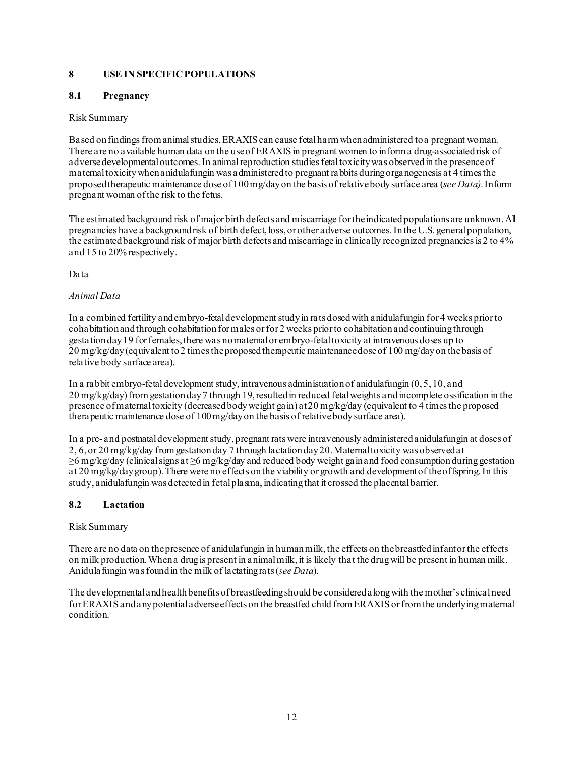### **8 USE IN SPECIFIC POPULATIONS**

#### **8.1 Pregnancy**

#### Risk Summary

Based on findings from animal studies, ERAXIS can cause fetal harm when administered to a pregnant woman. There are no available human data on the use of ERAXIS in pregnant women to inform a drug-associated risk of adverse developmental outcomes.In animal reproduction studies fetal toxicity was observed in the presence of maternal toxicity when anidulafungin was administered to pregnant rabbits during organogenesis at 4 times the proposed therapeutic maintenance dose of 100mg/day on the basis of relative body surface area (*see Data)*.Inform pregnant woman of the risk to the fetus.

The estimated background risk of major birth defects and miscarriage for the indicated populations are unknown.All pregnancies have a backgroundrisk of birth defect, loss, or other adverse outcomes.In the U.S. general population, the estimated background risk of major birth defects and miscarriage in clinically recognized pregnancies is 2 to 4% and 15 to 20% respectively.

#### Data

#### *Animal Data*

In a combined fertility and embryo-fetal development study in rats dosed with anidulafungin for 4 weeks prior to cohabitation and through cohabitation for males or for 2 weeks prior to cohabitation and continuing through gestation day19 for females, there was no maternal or embryo-fetal toxicity at intravenous doses up to 20 mg/kg/day (equivalent to 2 times the proposed therapeutic maintenance dose of 100 mg/day on the basis of relative body surface area).

In a rabbit embryo-fetal development study, intravenous administration of anidulafungin (0, 5, 10, and 20 mg/kg/day) from gestation day 7 through 19, resulted in reduced fetal weights and incomplete ossification in the presence of maternal toxicity (decreased body weight gain) at 20 mg/kg/day (equivalent to 4 times the proposed therapeutic maintenance dose of 100 mg/day on the basis of relative body surface area).

In a pre- and postnatal development study, pregnant rats were intravenously administered anidulafungin at doses of 2, 6, or 20 mg/kg/day from gestation day 7 through lactation day 20. Maternal toxicity was observed at ≥6 mg/kg/day (clinical signs at ≥6 mg/kg/day and reduced body weight gain and food consumption during gestation at 20 mg/kg/day group). There were no effects on the viability or growth and development of the offspring. In this study, anidulafungin was detected in fetalplasma, indicating that it crossed the placental barrier.

#### **8.2 Lactation**

#### Risk Summary

There are no data on the presence of anidulafungin in human milk, the effects on the breastfed infant or the effects on milk production.When a drug is present in animal milk, it is likely that the drug will be present in human milk. Anidulafungin was found in the milk of lactating rats(*see Data*).

The developmental and health benefits of breastfeedingshould be consideredalong with the mother's clinical need forERAXIS and any potential adverse effects on the breastfed child from ERAXIS or from the underlying maternal condition.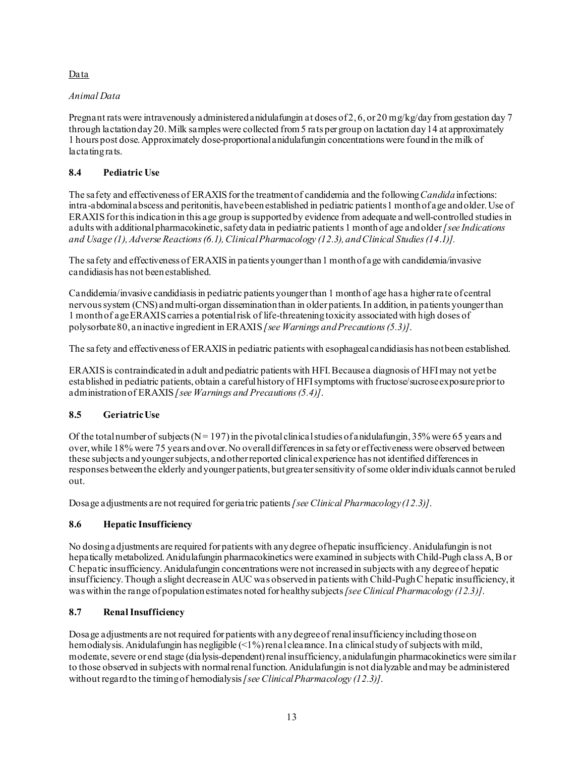### Data

### *Animal Data*

Pregnant rats were intravenously administered anidulafungin at doses of 2, 6, or 20 mg/kg/day from gestation day 7 through lactation day 20. Milk samples were collected from 5 rats per group on lactation day 14 at approximately 1 hours post dose. Approximately dose-proportional anidulafungin concentrations were found in the milk of lactating rats.

### **8.4 Pediatric Use**

The safety and effectiveness of ERAXIS for the treatment of candidemia and the following *Candida* infections: intra-abdominal abscess and peritonitis, have been established in pediatric patients1 month of age and older. Use of ERAXISfor thisindication in this age group is supported by evidence from adequate and well-controlled studies in adults with additional pharmacokinetic, safety data in pediatric patients 1 month of age and older*[see Indications and Usage (1), Adverse Reactions (6.1), Clinical Pharmacology (12.3), and Clinical Studies (14*.*1)].*

The safety and effectiveness of ERAXIS in patients younger than 1 month of a ge with candidemia/invasive candidiasis has not beenestablished.

Candidemia/invasive candidiasis in pediatric patients younger than 1 month of age has a higher rate of central nervous system (CNS) and multi-organ dissemination than in older patients. In addition, in patients younger than 1 month of age ERAXIS carries a potential risk of life-threatening toxicity associated with high doses of polysorbate80, an inactive ingredient in ERAXIS *[see Warnings and Precautions (5.3)]*.

The safety and effectiveness of ERAXIS in pediatric patients with esophageal candidiasis has not been established.

ERAXIS is contraindicated in adult and pediatric patients with HFI.Because a diagnosis of HFI may not yet be established in pediatric patients, obtain a careful history of HFI symptoms with fructose/sucrose exposure prior to administration of ERAXIS *[see Warnings and Precautions (5.4)]*.

### **8.5 Geriatric Use**

Of the total number of subjects ( $N = 197$ ) in the pivotal clinical studies of anidulafungin, 35% were 65 years and over, while 18% were 75 years and over. No overall differencesin safety or effectiveness were observed between these subjects and younger subjects, and other reported clinical experience has not identified differences in responses between the elderly and younger patients, but greater sensitivity of some older individuals cannot be ruled out.

Dosage adjustments are not required for geriatric patients *[see Clinical Pharmacology (12.3)]*.

### **8.6 Hepatic Insufficiency**

No dosing adjustments are required for patients with any degree of hepatic insufficiency. Anidulafungin is not hepatically metabolized. Anidulafungin pharmacokinetics were examined in subjects with Child-Pugh class A, B or C hepatic insufficiency. Anidulafungin concentrations were not increased in subjects with any degree of hepatic insufficiency. Though a slight decrease in AUC was observed in patients with Child-Pugh C hepatic insufficiency, it was within the range of population estimates noted for healthy subjects *[see Clinical Pharmacology (12.3)]*.

#### **8.7 Renal Insufficiency**

Dosage adjustments are not required for patients with any degree of renal insufficiency including those on hemodialysis. Anidulafungin has negligible (<1%) renal clearance. In a clinical study of subjects with mild, moderate, severe or end stage (dialysis-dependent) renal insufficiency, anidulafungin pharmacokinetics were similar to those observed in subjects with normal renal function. Anidulafungin is not dialyzable and may be administered without regard to the timing of hemodialysis*[see Clinical Pharmacology (12.3)]*.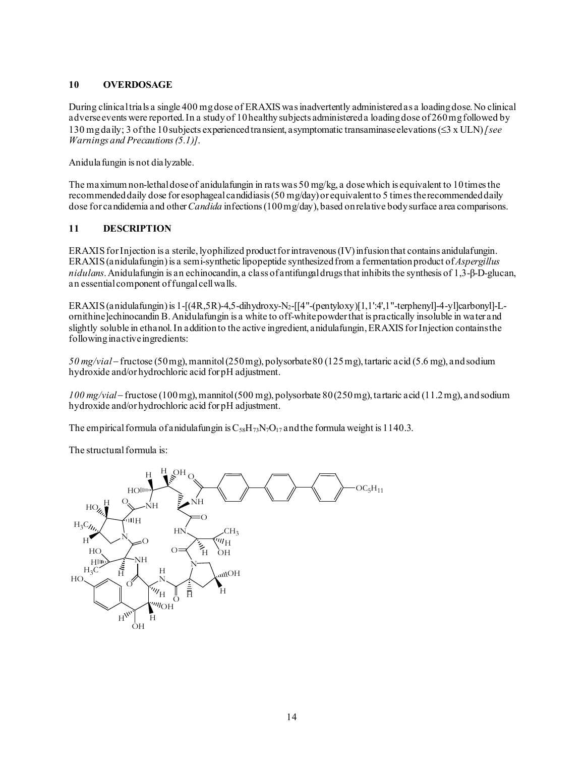### **10 OVERDOSAGE**

During clinical trials a single 400 mg dose of ERAXIS was inadvertently administered as a loading dose. No clinical adverse events were reported. In a study of 10 healthy subjects administered a loading dose of 260 mg followed by 130 mg daily; 3 of the 10 subjects experienced transient, asymptomatic transaminase elevations (≤3 x ULN)*[see Warnings and Precautions (5.1)]*.

Anidulafungin is not dialyzable.

The maximum non-lethal dose of anidulafungin in rats was 50 mg/kg, a dose which is equivalent to 10 times the recommended daily dose for esophageal candidiasis (50 mg/day) or equivalent to 5 times the recommended daily dose for candidemia and other *Candida* infections (100 mg/day), based on relative body surface area comparisons.

### **11 DESCRIPTION**

ERAXIS for Injection is a sterile, lyophilized product for intravenous (IV) infusion that contains anidulafungin. ERAXIS (anidulafungin) is a semi-synthetic lipopeptide synthesized from a fermentation product of *Aspergillus nidulans*. Anidulafungin is an echinocandin, a class of antifungal drugs that inhibits the synthesis of 1,3-β-D-glucan, an essential component of fungal cell walls.

ERAXIS (anidulafungin) is 1-[(4R,5R)-4,5-dihydroxy-N2-[[4"-(pentyloxy)[1,1':4',1"-terphenyl]-4-yl]carbonyl]-Lornithine]echinocandin B.Anidulafungin is a white to off-white powder that is practically insoluble in water and slightly soluble in ethanol. In addition to the active ingredient, anidulafungin, ERAXIS for Injection contains the following inactive ingredients:

*50 mg/vial*− fructose (50 mg), mannitol (250mg), polysorbate 80 (125 mg), tartaric acid (5.6 mg), and sodium hydroxide and/or hydrochloric acid for pH adjustment.

*100 mg/vial*− fructose (100 mg), mannitol (500 mg), polysorbate 80 (250 mg), tartaric acid (11.2 mg), and sodium hydroxide and/or hydrochloric acid for pH adjustment.

The empirical formula of anidulafungin is  $C_{58}H_{73}N_7O_{17}$  and the formula weight is 1140.3.

The structural formula is:

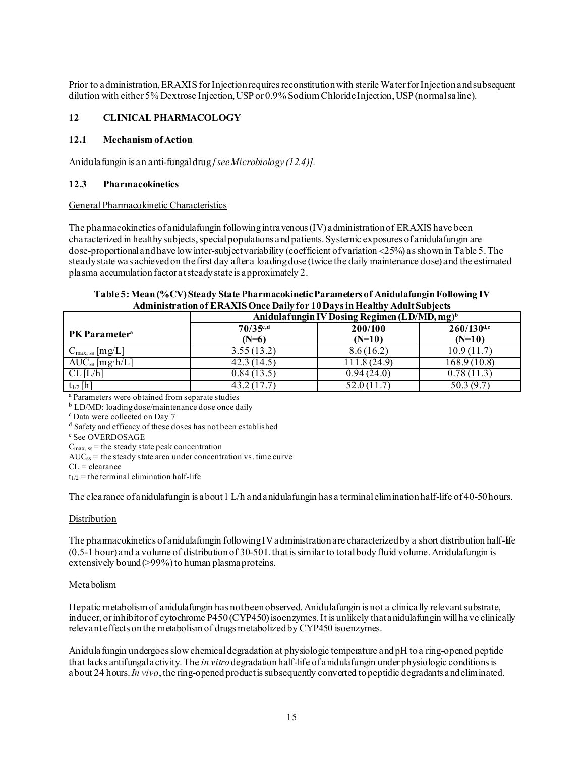Prior to administration, ERAXIS for Injection requires reconstitution with sterile Water for Injection and subsequent dilution with either 5% Dextrose Injection, USP or 0.9% Sodium ChlorideInjection, USP (normal saline).

#### **12 CLINICAL PHARMACOLOGY**

#### **12.1 Mechanism of Action**

Anidulafungin is an anti-fungal drug *[see Microbiology (12.4)].*

#### **12.3 Pharmacokinetics**

#### General Pharmacokinetic Characteristics

The pharmacokinetics of anidulafungin following intravenous  $(IV)$  administration of ERAXIS have been characterized in healthy subjects, special populations and patients. Systemic exposures of anidulafungin are dose-proportional and have lowinter-subjectvariability (coefficient of variation <25%) as shown in Table 5. The steady state was achieved on the first day after a loading dose (twice the daily maintenance dose) and the estimated plasma accumulation factor at steady state is approximately 2.

| Table 5: Mean (%CV) Steady State Pharmacokinetic Parameters of Anidulafungin Following IV |
|-------------------------------------------------------------------------------------------|
| <b>Administration of ERAXIS Once Daily for 10 Days in Healthy Adult Subjects</b>          |

|                                  | Anidulafungin IV Dosing Regimen (LD/MD, mg) <sup>b</sup> |                     |                             |  |
|----------------------------------|----------------------------------------------------------|---------------------|-----------------------------|--|
| <b>PK</b> Parameter <sup>a</sup> | $70/35^{c,d}$<br>$(N=6)$                                 | 200/100<br>$(N=10)$ | $260/130^{d,e}$<br>$(N=10)$ |  |
| $C_{\text{max, ss}}$ [mg/L]      | 3.55(13.2)                                               | 8.6(16.2)           | 10.9 (11.7                  |  |
| $AUC_{ss}$ [mg·h/L]              | 42.3 (14.5)                                              | 111.8 (24.9)        | 168.9 (10.8)                |  |
| $CL$ [ $L/h$ ]                   | 0.84(13.5)                                               | 0.94(24.0)          | 0.78(11.3                   |  |
| $t_{1/2}$ [h]                    | 43.2 (17.7                                               | 52.0 (11.7)         | 50.3 (9.7)                  |  |

<sup>a</sup> Parameters were obtained from separate studies

 $\frac{b}{c}$  LD/MD: loading dose/maintenance dose once daily  $\frac{c}{c}$  Data were collected on Day 7

<sup>d</sup> Safety and efficacy of these doses has not been established

<sup>e</sup> See OVERDOSAGE

 $C_{\text{max. ss}}$  = the steady state peak concentration

 $AUC_{ss}$  = the steady state area under concentration vs. time curve

 $CL = \text{clearance}$ 

 $t_{1/2}$  = the terminal elimination half-life

The clearance of anidulafungin is about 1 L/h and anidulafungin has a terminal elimination half-life of 40-50 hours.

#### **Distribution**

The pharmacokinetics of anidulafungin following IV administration are characterized by a short distribution half-life (0.5-1 hour) and a volume of distribution of 30-50 L that is similar to total body fluid volume. Anidulafungin is extensively bound (>99%) to human plasma proteins.

#### Metabolism

Hepatic metabolism of anidulafungin has not been observed. Anidulafungin is not a clinically relevant substrate, inducer, or inhibitor of cytochrome P450 (CYP450) isoenzymes.It is unlikely that anidulafungin will have clinically relevant effects on the metabolism of drugs metabolized by CYP450 isoenzymes.

Anidulafungin undergoes slow chemical degradation at physiologic temperature and pH to a ring-opened peptide that lacks antifungal activity. The *in vitro*degradation half-life of anidulafungin under physiologic conditions is about 24 hours. *In vivo*, the ring-opened product is subsequently converted to peptidic degradants and eliminated.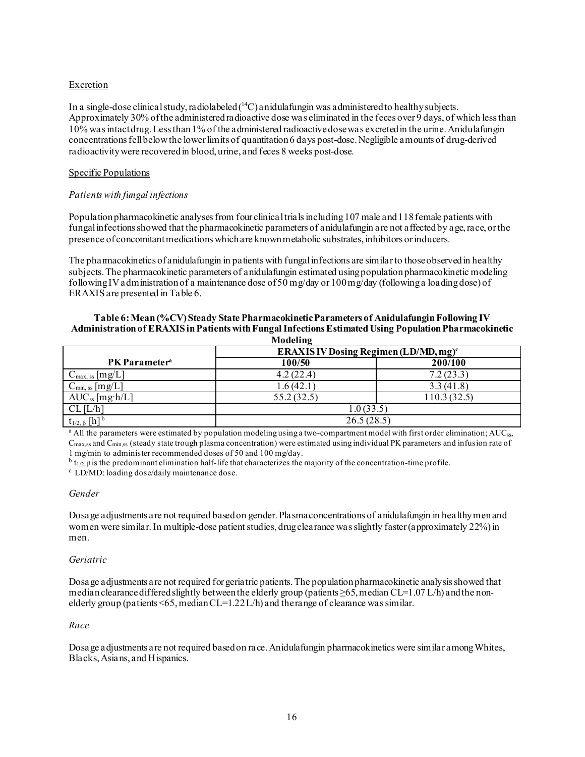#### **Excretion**

In a single-dose clinical study, radiolabeled (<sup>14</sup>C) anidulafungin was administered to healthy subjects. Approximately 30% of the administeredradioactive dose was eliminated in the feces over 9 days, of which less than 10% was intact drug.Less than 1% of the administered radioactive dosewas excreted in the urine. Anidulafungin concentrations fellbelow the lower limits of quantitation 6 days post-dose. Negligible amounts of drug-derived radioactivity were recovered in blood, urine, and feces 8 weeks post-dose.

#### Specific Populations

#### *Patients with fungal infections*

Population pharmacokinetic analyses from four clinical trialsincluding 107 male and 118 female patients with fungal infections showed that the pharmacokinetic parameters of anidulafungin are not affected by age, race, or the presence of concomitant medications which are known metabolic substrates, inhibitors or inducers.

The pharmacokinetics of anidulafungin in patients with fungal infections are similar to those observed in healthy subjects. The pharmacokinetic parameters of anidulafungin estimated using population pharmacokinetic modeling following IV administration of a maintenance dose of 50 mg/day or  $100 \,\text{mg/day}$  (following a loading dose) of ERAXISare presented in Table 6.

## **Table 6:Mean (%CV) Steady State Pharmacokinetic Parameters of Anidulafungin Following IV Administration of ERAXISin Patients with Fungal Infections Estimated Using Population Pharmacokinetic**

| Modeling                          |                                                   |             |  |  |
|-----------------------------------|---------------------------------------------------|-------------|--|--|
|                                   | ERAXIS IV Dosing Regimen (LD/MD, mg) <sup>c</sup> |             |  |  |
| PK Parameter <sup>a</sup>         | 100/50                                            | 200/100     |  |  |
| $C_{\text{max, ss}}$ [mg/L]       | 4.2(22.4)                                         | 7.2(23.3)   |  |  |
| $C_{\text{min, ss}}$ [mg/L]       | 1.6(42.1)                                         | 3.3(41.8)   |  |  |
| $AUC_{ss}$ [mg·h/L]               | 55.2(32.5)                                        | 110.3(32.5) |  |  |
| $CL$ [ $L/h$ ]                    | 1.0(33.5)                                         |             |  |  |
| $t_{1/2, \beta}$ [h] <sup>b</sup> | 26.5(28.5)                                        |             |  |  |

<sup>a</sup> All the parameters were estimated by population modeling using a two-compartment model with first order elimination; AUC<sub>ss</sub>, Cmax,ss and Cmin,ss (steady state trough plasma concentration) were estimated using individual PK parameters and infusion rate of 1 mg/min to administer recommended doses of 50 and 100 mg/day.

<sup>b</sup> t<sub>1/2, β</sub> is the predominant elimination half-life that characterizes the majority of the concentration-time profile.<br><sup>c</sup> LD/MD: loading dose/daily maintenance dose.

#### *Gender*

Dosage adjustments are not required based on gender. Plasma concentrations of anidulafungin in healthy men and women were similar. In multiple-dose patient studies, drug clearance was slightly faster(approximately 22%) in men.

#### *Geriatric*

Dosage adjustments are not required for geriatric patients. The population pharmacokinetic analysis showed that median clearance differed slightly between the elderly group (patients  $\geq 65$ , median CL=1.07 L/h) and the nonelderly group (patients  $\leq 65$ , median CL=1.22 L/h) and the range of clearance was similar.

#### *Race*

Dosage adjustments are not required based on race. Anidulafungin pharmacokinetics were similar among Whites, Blacks, Asians, and Hispanics.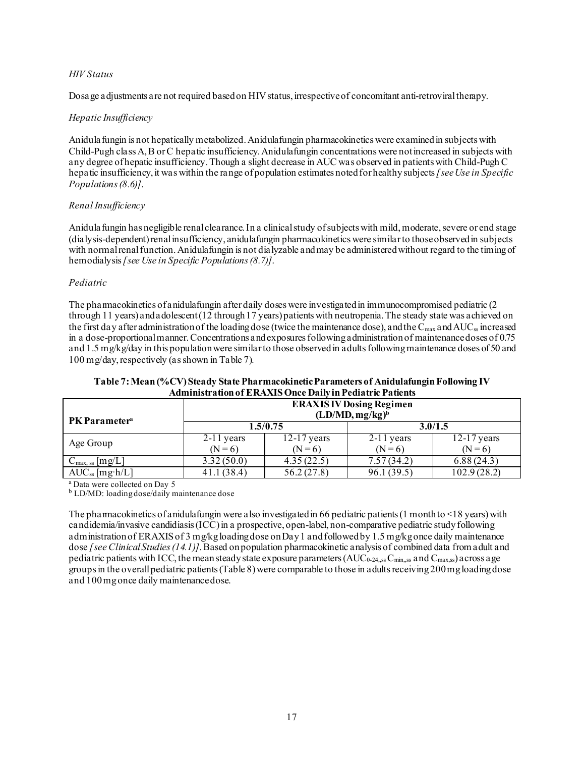#### *HIV Status*

Dosage adjustments are not required based on HIV status, irrespective of concomitant anti-retroviral therapy.

#### *Hepatic Insufficiency*

Anidulafungin is not hepatically metabolized. Anidulafungin pharmacokinetics were examined in subjects with Child-Pugh class A,B or C hepatic insufficiency. Anidulafungin concentrations were not increased in subjects with any degree of hepatic insufficiency. Though a slight decrease in AUC was observed in patients with Child-Pugh C hepatic insufficiency, it was within the range of population estimates noted for healthy subjects*[see Use in Specific Populations (8.6)]*.

#### *Renal Insufficiency*

Anidula fungin has negligible renal clearance. In a clinical study of subjects with mild, moderate, severe or end stage (dialysis-dependent) renal insufficiency, anidulafungin pharmacokinetics were similar to those observed in subjects with normal renal function. Anidulafungin is not dialyzable and may be administered without regard to the timing of hemodialysis*[see Use in Specific Populations(8.7)]*.

#### *Pediatric*

The pharmacokinetics of anidulafungin after daily doses were investigated in immunocompromised pediatric (2 through 11 years) and adolescent (12 through 17 years) patients with neutropenia.The steady state was achieved on the first day after administration of the loading dose (twice the maintenance dose), and the  $C_{\text{max}}$  and AUC<sub>ss</sub> increased in a dose-proportional manner. Concentrations and exposures following administration of maintenance doses of 0.75 and 1.5 mg/kg/day in this population were similar to those observed in adults following maintenance doses of 50 and 100 mg/day, respectively (as shown in Table 7)*.*

| Administrativn of EINAARS Once Daily in 1 cuiau ic 1 auchts |                                |               |              |               |  |  |
|-------------------------------------------------------------|--------------------------------|---------------|--------------|---------------|--|--|
|                                                             | <b>ERAXISIV</b> Dosing Regimen |               |              |               |  |  |
| <b>PK</b> Parameter <sup>a</sup>                            | $(LD/MD, mg/kg)^b$             |               |              |               |  |  |
|                                                             | 1.5/0.75                       |               | 3.0/1.5      |               |  |  |
| Age Group                                                   | $2-11$ years                   | $12-17$ years | $2-11$ years | $12-17$ years |  |  |
|                                                             | $(N = 6)$                      | $(N = 6)$     | $(N = 6)$    | $(N=6)$       |  |  |
| $C_{\text{max, ss}}$ [mg/L]                                 | 3.32(50.0)                     | 4.35(22.5)    | 7.57(34.2)   | 6.88(24.3)    |  |  |
| $AUC_{ss}$ [mg·h/L]                                         | 41.1(38.4)                     | 56.2(27.8)    | 96.1(39.5)   | 102.9(28.2)   |  |  |

#### **Table 7:Mean (%CV) Steady State Pharmacokinetic Parameters of AnidulafunginFollowing IV Administration of ERAXISOnce Daily in Pediatric Patients**

<sup>a</sup> Data were collected on Day 5

<sup>b</sup> LD/MD: loading dose/daily maintenance dose

The pharmacokinetics of anidulafungin were also investigated in 66 pediatric patients (1 month to  $\leq 18$  years) with candidemia/invasive candidiasis (ICC) in a prospective, open-label, non-comparative pediatric study following administrationof ERAXIS of 3 mg/kg loading dose on Day 1 and followed by 1.5 mg/kgonce daily maintenance dose *[see Clinical Studies (14.1)]*. Based on population pharmacokinetic analysis of combined data from adult and pediatric patients with ICC, the mean steady state exposure parameters (AUC<sub>0-24,ss</sub>C<sub>min,ss</sub> and C<sub>max,ss</sub>) across a ge groups in the overall pediatric patients (Table 8) were comparable to those in adults receiving 200 mg loading dose and 100 mg once daily maintenance dose.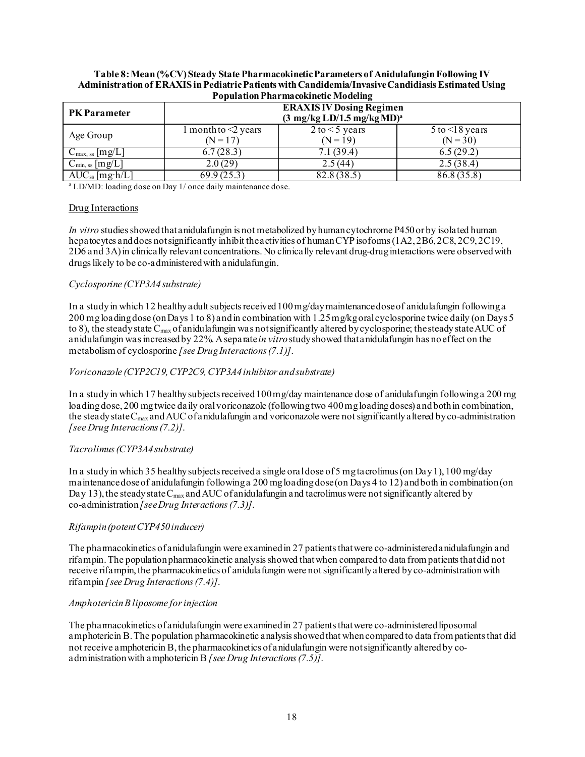| <b>Population Pharmacokinetic Modeling</b> |                                                                                           |                                     |                                      |  |  |
|--------------------------------------------|-------------------------------------------------------------------------------------------|-------------------------------------|--------------------------------------|--|--|
| <b>PK Parameter</b>                        | <b>ERAXIS IV Dosing Regimen</b><br>$(3 \text{ mg/kg LD}/1.5 \text{ mg/kg MD})^{\text{a}}$ |                                     |                                      |  |  |
| Age Group                                  | $1$ month to $\leq$ years<br>$(N = 17)$                                                   | $2$ to $\leq$ 5 years<br>$(N = 19)$ | $5$ to $\leq$ 18 years<br>$(N = 30)$ |  |  |
| $C_{\text{max, ss}}$ [mg/L]                | 6.7(28.3)                                                                                 | 7.1 (39.4)                          | 6.5(29.2)                            |  |  |
| $C_{\text{min, ss}}$ [mg/L]                | 2.0(29)                                                                                   | 2.5(44)                             | 2.5(38.4)                            |  |  |
| $AUC_{ss}$ [mg·h/L]                        | 69.9(25.3)                                                                                | 82.8(38.5)                          | 86.8(35.8)                           |  |  |

**Table 8:Mean (%CV) Steady State Pharmacokinetic Parameters of Anidulafungin Following IV**  Administration of ERAXIS in Pediatric Patients with Candidemia/Invasive Candidiasis Estimated Using

<sup>a</sup> LD/MD: loading dose on Day 1/ once daily maintenance dose.

#### Drug Interactions

*In vitro* studies showed that anidulafungin is not metabolized by human cytochrome P450 or by isolated human hepatocytes and does not significantly inhibit the activities of human CYP isoforms (1A2, 2B6, 2C8, 2C9, 2C19, 2D6 and 3A) in clinically relevant concentrations. No clinically relevant drug-drug interactions were observed with drugs likely to be co-administeredwith anidulafungin.

#### *Cyclosporine (CYP3A4 substrate)*

In a study in which 12 healthy adult subjects received 100 mg/day maintenance dose of anidulafungin following a 200 mg loading dose (on Days 1 to 8) and in combination with 1.25 mg/kg oral cyclosporine twice daily (on Days 5 to 8), the steady state  $C_{\text{max}}$  of anidulafungin was not significantly altered by cyclosporine; the steady state AUC of anidulafungin was increased by 22%. A separate *in vitro*study showed that anidulafungin has no effect on the metabolism of cyclosporine *[see Drug Interactions (7.1)]*.

#### *Voriconazole (CYP2C19, CYP2C9, CYP3A4 inhibitor and substrate)*

In a study in which 17 healthy subjects received 100 mg/day maintenance dose of anidulafungin following a 200 mg loading dose, 200 mg twice daily oral voriconazole (following two 400 mg loading doses) and both in combination, the steady state  $C_{\text{max}}$  and AUC of anidulafungin and voriconazole were not significantly altered by co-administration *[see Drug Interactions (7.2)]*.

#### *Tacrolimus(CYP3A4substrate)*

In a studyin which 35 healthy subjects receiveda single oral dose of 5 mg tacrolimus (on Day 1), 100 mg/day maintenance dose of anidulafungin following a 200 mg loading dose (on Days 4 to 12) and both in combination (on Day 13), the steady state  $C_{\text{max}}$  and AUC of anidulafungin and tacrolimus were not significantly altered by co-administration *[see Drug Interactions (7.3)]*.

#### *Rifampin(potent CYP450 inducer)*

The pharmacokinetics of anidulafungin were examined in 27 patients that were co-administered anidulafungin and rifampin.The population pharmacokinetic analysisshowed that when compared to data from patients that did not receive rifampin, the pharmacokinetics of anidulafungin were not significantly altered by co-administration with rifampin *[see Drug Interactions (7.4)]*.

#### *Amphotericin B liposome for injection*

The pharmacokinetics of anidulafungin were examined in 27 patients that were co-administered liposomal amphotericin B. The population pharmacokinetic analysis showed that when compared to data from patients that did not receive amphotericin B, the pharmacokinetics of anidulafungin were not significantly altered by coadministration with amphotericin B *[see Drug Interactions (7.5)]*.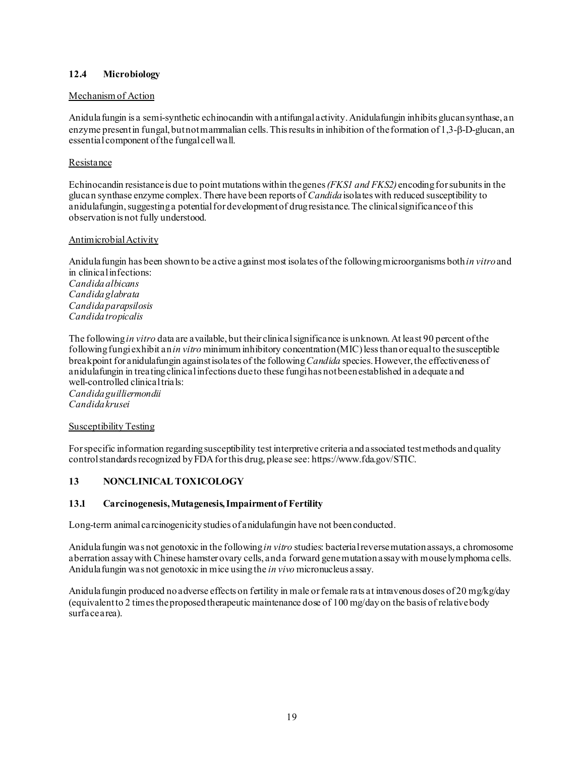### **12.4 Microbiology**

#### Mechanism of Action

Anidulafungin is a semi-synthetic echinocandin with antifungal activity. Anidulafungin inhibits glucan synthase, an enzyme present in fungal, but not mammalian cells. This results in inhibition of the formation of 1,3-β-D-glucan, an essential component of the fungal cell wall.

#### Resistance

Echinocandin resistance is due to point mutations within the genes *(FKS1 and FKS2)* encoding for subunits in the glucan synthase enzyme complex. There have been reports of *Candida*isolates with reduced susceptibility to anidulafungin, suggesting a potential for development of drug resistance. The clinical significance of this observation is not fully understood.

#### Antimicrobial Activity

Anidulafungin has been shown to be active against most isolates of the following microorganisms both *in vitro*and in clinicalinfections: *Candidaalbicans Candidaglabrata Candidaparapsilosis Candidatropicalis*

The following *in vitro* data are available, but their clinical significance is unknown. At least 90 percent of the following fungi exhibit an *in vitro* minimum inhibitory concentration (MIC) less than or equal to thesusceptible breakpoint for anidulafungin against isolates of the following *Candida* species. However, the effectiveness of anidulafungin in treating clinical infections due to these fungi has not been established in adequate and well-controlled clinical trials: *Candida guilliermondii*

*Candida krusei*

#### Susceptibility Testing

For specific information regarding susceptibility test interpretive criteria and associated test methods and quality control standards recognized by FDA for this drug, please see: <https://www.fda.gov/STIC>.

#### **13 NONCLINICAL TOXICOLOGY**

#### **13.1 Carcinogenesis, Mutagenesis, Impairment of Fertility**

Long-term animal carcinogenicity studies of anidulafungin have not beenconducted.

Anidulafungin was not genotoxic in the following *in vitro* studies: bacterial reverse mutation assays, a chromosome aberration assay with Chinese hamster ovary cells, and a forward gene mutation assay with mouse lymphoma cells. Anidulafungin was not genotoxic in mice using the *in vivo* micronucleus assay.

Anidula fungin produced no adverse effects on fertility in male or female rats at intravenous doses of 20 mg/kg/day (equivalent to 2 times the proposed therapeutic maintenance dose of 100 mg/day on the basis of relative body surface area).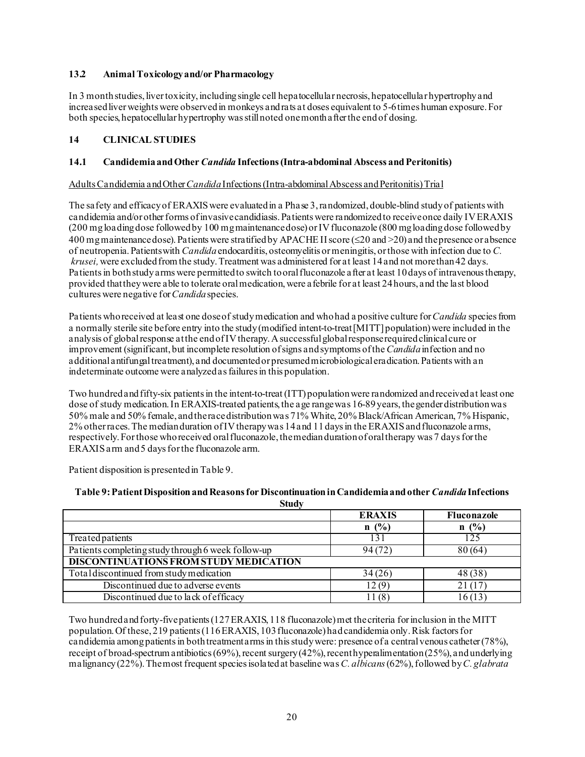### **13.2 Animal Toxicology and/or Pharmacology**

In 3 month studies, liver toxicity, including single cell hepatocellular necrosis, hepatocellular hypertrophy and increased liver weights were observed in monkeys and rats at doses equivalent to 5-6 times human exposure. For both species, hepatocellular hypertrophy was still noted one month after the end of dosing.

### **14 CLINICAL STUDIES**

#### **14.1 Candidemia and Other** *Candida* **Infections (Intra-abdominal Abscess and Peritonitis)**

#### Adults Candidemia and Other *Candida*Infections (Intra-abdominal Abscess and Peritonitis) Trial

The safety and efficacy of ERAXIS were evaluated in a Phase 3, randomized, double-blind study of patients with candidemia and/or other forms of invasive candidiasis. Patients were randomized to receive once daily IV ERAXIS (200 mg loading dose followed by 100 mg maintenance dose) or IV fluconazole (800 mg loading dose followed by 400 mg maintenance dose). Patients were stratified by APACHE II score (≤20 and >20) and the presence or absence of neutropenia. Patients with *Candida*endocarditis, osteomyelitis or meningitis, or those with infection due to *C. krusei,*were excluded from the study. Treatment was administered for at least 14 and not more than 42 days. Patients in both study arms were permitted to switch to oral fluconazole after at least 10 days of intravenous therapy, provided that they were able to tolerate oral medication, were afebrile for at least 24 hours, and the last blood cultures were negative for *Candida*species.

Patients who received at least one dose of study medication and who had a positive culture for *Candida* species from a normally sterile site before entry into the study (modified intent-to-treat [MITT] population) were included in the analysis of global response at the endof IV therapy. A successful global response required clinical cure or improvement (significant, but incomplete resolution of signs and symptoms of the *Candida* infection and no additional antifungal treatment), and documented or presumed microbiological eradication.Patients with an indeterminate outcome were analyzed as failures in this population.

Two hundred and fifty-six patients in the intent-to-treat (ITT) population were randomized andreceived at least one dose of study medication.In ERAXIS-treated patients, the age range was 16-89 years, the gender distribution was 50% male and 50% female, and the race distribution was 71% White, 20% Black/African American, 7% Hispanic, 2% other races. The median duration of IV therapy was 14 and 11 days in the ERAXIS and fluconazole arms, respectively.For those who received oral fluconazole, the median duration of oral therapy was 7 days for the ERAXIS arm and 5 days for the fluconazole arm.

Patient disposition is presentedin Table 9.

| $\sim$                                             |               |             |
|----------------------------------------------------|---------------|-------------|
|                                                    | <b>ERAXIS</b> | Fluconazole |
|                                                    | n(%)          | (%)         |
| Treated patients                                   |               | 125         |
| Patients completing study through 6 week follow-up | 94(72)        | 80 (64)     |
| DISCONTINUATIONS FROM STUDY MEDICATION             |               |             |
| Total discontinued from study medication           | 34(26)        | 48 (38)     |
| Discontinued due to adverse events                 | 12 (9         |             |
| Discontinued due to lack of efficacy               | (8)           | 615         |

#### **Table 9:Patient Disposition andReasons for Discontinuation in Candidemia and other** *Candida***Infections Study**

Two hundred andforty-five patients (127 ERAXIS, 118 fluconazole) met the criteria for inclusion in the MITT population. Of these, 219 patients (116ERAXIS, 103 fluconazole) had candidemia only. Risk factors for candidemia among patients in both treatment arms in this study were: presence of a central venous catheter (78%), receipt of broad-spectrum antibiotics (69%), recent surgery (42%), recent hyperalimentation (25%), and underlying malignancy (22%). The most frequent species isolated at baseline was *C. albicans*(62%),followed by *C. glabrata*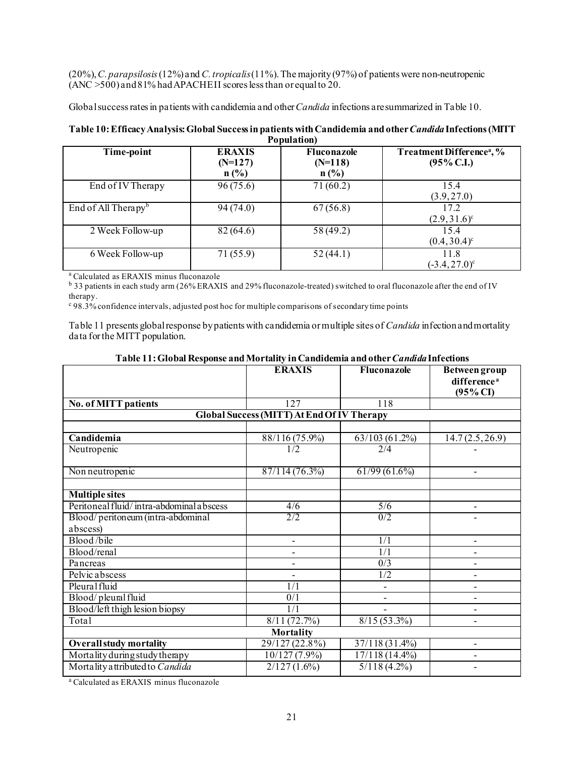(20%), *C. parapsilosis*(12%) and *C. tropicalis*(11%).The majority (97%) of patients were non-neutropenic (ANC >500) and 81% had APACHE II scores less than or equal to 20.

Global success rates in patients with candidemia and other*Candida* infections are summarized in Table 10.

| r opulation)                      |                                       |                                     |                                                        |  |  |
|-----------------------------------|---------------------------------------|-------------------------------------|--------------------------------------------------------|--|--|
| Time-point                        | <b>ERAXIS</b><br>$(N=127)$<br>$n$ (%) | Fluconazole<br>$(N=118)$<br>$n$ (%) | Treatment Difference <sup>a</sup> , %<br>$(95\%$ C.I.) |  |  |
| End of IV Therapy                 | 96(75.6)                              | 71(60.2)                            | 15.4<br>(3.9, 27.0)                                    |  |  |
| End of All Therapy $\mathfrak{b}$ | 94(74.0)                              | 67(56.8)                            | 17.2<br>$(2.9, 31.6)^{\circ}$                          |  |  |
| 2 Week Follow-up                  | 82(64.6)                              | 58 (49.2)                           | 15.4<br>$(0.4, 30.4)^c$                                |  |  |
| 6 Week Follow-up                  | 71(55.9)                              | 52(44.1)                            | 11.8<br>$(-3.4, 27.0)^{\circ}$                         |  |  |

#### **Table 10:Efficacy Analysis:Global Success in patients with Candidemia and other** *Candida***Infections (MITT Population)**

<sup>a</sup> Calculated as ERAXIS minus fluconazole

<sup>b</sup> 33 patients in each study arm (26% ERAXIS and 29% fluconazole-treated) switched to oral fluconazole after the end of IV therapy.

<sup>c</sup> 98.3% confidence intervals, adjusted post hoc for multiple comparisons of secondary time points

Τ

Table 11 presents global response by patients with candidemia or multiple sites of *Candida* infectionand mortality data for the MITT population.

|                                     | <b>ERAXIS</b>                                     | Fluconazole     | Between group<br>difference <sup>a</sup><br>$(95\% \text{ CI})$ |
|-------------------------------------|---------------------------------------------------|-----------------|-----------------------------------------------------------------|
| <b>No. of MITT patients</b>         | 127                                               | 118             |                                                                 |
|                                     | <b>Global Success (MITT) At End Of IV Therapy</b> |                 |                                                                 |
|                                     |                                                   |                 |                                                                 |
| Candidemia                          | 88/116 (75.9%)                                    | 63/103(61.2%)   | 14.7(2.5, 26.9)                                                 |
| Neutropenic                         | 1/2                                               | 2/4             |                                                                 |
|                                     |                                                   |                 |                                                                 |
| $\overline{\text{Non}}$ neutropenic | $87/114(76.\overline{3\%})$                       | $61/99(61.6\%)$ |                                                                 |

T

# **Table 11: Global Response and Mortality in Candidemia and other** *Candida* **Infections<br>
<b>ERAXIS** Fluconazole Between

| <b>Multiple sites</b>                    |                  |                |  |  |  |  |
|------------------------------------------|------------------|----------------|--|--|--|--|
| Peritoneal fluid/intra-abdominal abscess | 4/6              | 5/6            |  |  |  |  |
| Blood/peritoneum (intra-abdominal        | 2/2              | 0/2            |  |  |  |  |
| abscess)                                 |                  |                |  |  |  |  |
| Blood/bile                               |                  | 1/1            |  |  |  |  |
| Blood/renal                              |                  | 1/1            |  |  |  |  |
| Pancreas                                 |                  | 0/3            |  |  |  |  |
| Pelvic abscess                           |                  | 1/2            |  |  |  |  |
| Pleural fluid                            | 1/1              |                |  |  |  |  |
| Blood/pleural fluid                      | 0/1              |                |  |  |  |  |
| Blood/left thigh lesion biopsy           | 1/1              |                |  |  |  |  |
| Total                                    | 8/11(72.7%)      | $8/15(53.3\%)$ |  |  |  |  |
| <b>Mortality</b>                         |                  |                |  |  |  |  |
| <b>Overall study mortality</b>           | $29/127(22.8\%)$ | 37/118 (31.4%) |  |  |  |  |
| Mortality during study therapy           | $10/127(7.9\%)$  | 17/118 (14.4%) |  |  |  |  |
| Mortality attributed to Candida          | $2/127(1.6\%)$   | $5/118(4.2\%)$ |  |  |  |  |
|                                          |                  |                |  |  |  |  |

a Calculated as ERAXIS minus fluconazole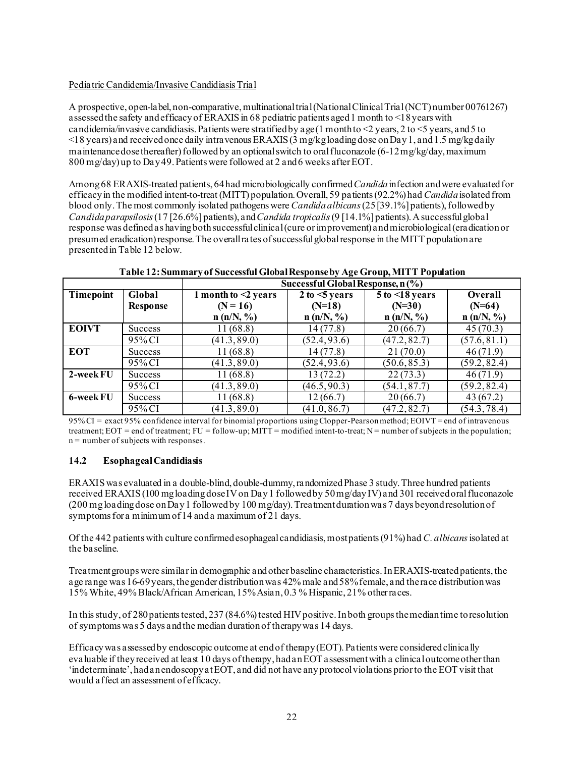#### Pediatric Candidemia/Invasive Candidiasis Trial

A prospective, open-label, non-comparative, multinationaltrial(National Clinical Trial (NCT) number 00761267) assessed the safety and efficacy of ERAXIS in 68 pediatric patients aged 1 month to <18 years with candidemia/invasive candidiasis. Patients were stratified by a ge(1 month to  $\leq$  years, 2 to  $\leq$  years, and 5 to  $\leq$ 18 years) and received once daily intravenous ERAXIS (3 mg/kg loading dose on Day 1, and 1.5 mg/kg daily ma intenance dose thereafter) followed by an optional switch to oral fluconazole  $(6-12 \text{ m}g/\text{kg}/\text{day})$ , maximum 800 mg/day) up to Day 49.Patients were followed at 2 and6 weeks after EOT.

Among 68 ERAXIS-treated patients, 64 had microbiologically confirmed *Candida*infection and were evaluatedfor efficacyin the modified intent-to-treat (MITT) population. Overall, 59 patients (92.2%) had *Candida*isolated from blood only.The most commonly isolated pathogens were *Candida albicans*(25 [39.1%] patients), followed by *Candida parapsilosis*(17 [26.6%] patients), and*Candida tropicalis*(9 [14.1%] patients). A successful global response was defined as having both successful clinical(cure or improvement) and microbiological(eradication or presumed eradication) response. The overallrates of successfulglobal response in the MITT population are presented in Table 12 below.

**Table 12: Summary of Successful Global Response by Age Group, MITT Population**

|                  |                 | Successful Global Response, n (%) |                   |                        |                |
|------------------|-----------------|-----------------------------------|-------------------|------------------------|----------------|
| <b>Timepoint</b> | Global          | 1 month to $\leq$ years           | 2 to $\leq$ years | $5$ to $\leq$ 18 years | <b>Overall</b> |
|                  | <b>Response</b> | $(N = 16)$                        | $(N=18)$          | $(N=30)$               | $(N=64)$       |
|                  |                 | n(n/N, %)                         | n(n/N, %)         | n(n/N, %)              | n(n/N, %)      |
| <b>EOIVT</b>     | Success         | 11(68.8)                          | 14(77.8)          | 20(66.7)               | 45(70.3)       |
|                  | 95% CI          | (41.3, 89.0)                      | (52.4, 93.6)      | (47.2, 82.7)           | (57.6, 81.1)   |
| <b>EOT</b>       | <b>Success</b>  | 11(68.8)                          | 14(77.8)          | 21(70.0)               | 46(71.9)       |
|                  | 95% CI          | (41.3, 89.0)                      | (52.4, 93.6)      | (50.6, 85.3)           | (59.2, 82.4)   |
| 2-week FU        | <b>Success</b>  | 11(68.8)                          | 13(72.2)          | 22(73.3)               | 46(71.9)       |
|                  | 95% CI          | (41.3, 89.0)                      | (46.5, 90.3)      | (54.1, 87.7)           | (59.2, 82.4)   |
| <b>6-week FU</b> | <b>Success</b>  | 11(68.8)                          | 12(66.7)          | 20(66.7)               | 43(67.2)       |
|                  | 95% CI          | (41.3, 89.0)                      | (41.0, 86.7)      | (47.2, 82.7)           | (54.3, 78.4)   |

95% CI = exact 95% confidence interval for binomial proportions using Clopper-Pearson method; EOIVT = end of intravenous treatment; EOT = end of treatment; FU = follow-up; MITT = modified intent-to-treat; N = number of subjects in the population; n = number of subjects with responses.

#### **14.2 Esophageal Candidiasis**

ERAXIS was evaluated in a double-blind, double-dummy, randomized Phase 3 study. Three hundred patients received ERAXIS(100 mg loading dose IV on Day 1 followedby 50 mg/day IV) and 301 received oral fluconazole (200 mg loading dose on Day 1 followed by 100 mg/day). Treatment duration was 7 days beyond resolution of symptoms for a minimum of 14 and a maximum of 21 days.

Of the 442 patients with culture confirmedesophageal candidiasis, most patients (91%) had *C. albicans*isolated at the baseline.

Treatment groups were similar in demographic and other baseline characteristics.In ERAXIS-treated patients, the age range was 16-69years, the gender distribution was 42% male and 58% female, and the race distribution was 15% White, 49% Black/African American, 15% Asian, 0.3 % Hispanic, 21% otherraces.

In this study, of 280 patients tested, 237 (84.6%) tested HIV positive. Inboth groupsthe median time toresolution of symptoms was 5 days and the median duration of therapy was 14 days.

Efficacy was assessed by endoscopic outcome at end of therapy (EOT). Patients were considered clinically evaluable if they received at least 10 days of therapy, had an EOT assessment with a clinical outcome other than 'indeterminate', had an endoscopy at EOT, and did not have any protocol violations prior to the EOT visit that would affect an assessment of efficacy.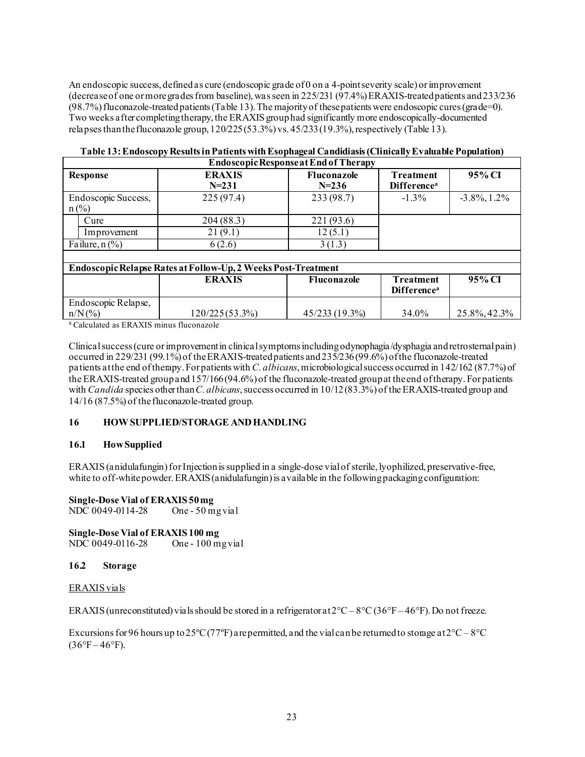An endoscopic success, defined as cure (endoscopic grade of 0 on a 4-pointseverity scale) or improvement (decrease of one or more grades from baseline), was seen in 225/231 (97.4%) ERAXIS-treated patients and 233/236 (98.7%) fluconazole-treated patients(Table 13). The majority of these patients were endoscopic cures (grade=0). Two weeks after completing therapy, the ERAXIS group had significantly more endoscopically-documented relapses than the fluconazole group,  $120/225 (53.3%)$  vs.  $45/233 (19.3%)$ , respectively (Table 13).

| <b>Endoscopic Response at End of Therapy</b> |                                                               |                                 |                                             |                 |  |
|----------------------------------------------|---------------------------------------------------------------|---------------------------------|---------------------------------------------|-----------------|--|
| Response                                     | <b>ERAXIS</b><br>$N = 231$                                    | <b>Fluconazole</b><br>$N = 236$ | <b>Treatment</b><br>Difference <sup>a</sup> | 95% CI          |  |
| Endoscopic Success,<br>$n$ (%)               | 225(97.4)                                                     | 233 (98.7)                      | $-1.3\%$                                    | $-3.8\%, 1.2\%$ |  |
| Cure                                         | 204(88.3)                                                     | 221 (93.6)                      |                                             |                 |  |
| Improvement                                  | 21(9.1)                                                       | 12(5.1)                         |                                             |                 |  |
| Failure, $n$ (%)                             | 6(2.6)                                                        | 3(1.3)                          |                                             |                 |  |
|                                              |                                                               |                                 |                                             |                 |  |
|                                              | Endoscopic Relapse Rates at Follow-Up, 2 Weeks Post-Treatment |                                 |                                             |                 |  |
|                                              | <b>ERAXIS</b>                                                 | <b>Fluconazole</b>              | <b>Treatment</b><br>Difference <sup>a</sup> | 95% CI          |  |
| Endoscopic Relapse,<br>$n/N$ (%)             | 120/225 (53.3%)                                               | 45/233 (19.3%)                  | 34.0%                                       | 25.8%, 42.3%    |  |

<sup>a</sup> Calculated as ERAXIS minus fluconazole

Clinical success (cure or improvement in clinical symptoms including odynophagia/dysphagia and retrosternal pain) occurred in 229/231 (99.1%) of the ERAXIS-treated patients and 235/236 (99.6%) of the fluconazole-treated patients at the end of therapy.For patients with *C. albicans*, microbiological success occurred in 142/162 (87.7%) of the ERAXIS-treated group and 157/166(94.6%) of the fluconazole-treated group at the end of therapy.For patients with *Candida* species other than *C. albicans*, success occurred in 10/12 (83.3%) of the ERAXIS-treated group and 14/16 (87.5%) of the fluconazole-treated group.

### **16 HOW SUPPLIED/STORAGE AND HANDLING**

#### **16.1 How Supplied**

ERAXIS (anidulafungin) for Injection is supplied in a single-dose vial of sterile, lyophilized, preservative-free, white to off-white powder. ERAXIS (anidulafungin) is a vailable in the following packaging configuration:

**Single-Dose Vial of ERAXIS 50 mg<br>NDC 0049-0114-28** One - 50 mg vial  $NDC$  0049-0114-28

**Single-Dose Vial of ERAXIS 100 mg** NDC 0049-0116-28

#### **16.2 Storage**

#### ERAXIS vials

ERAXIS (unreconstituted) vials should be stored in a refrigerator at  $2^{\circ}C - 8^{\circ}C(36^{\circ}F - 46^{\circ}F)$ . Do not freeze.

Excursions for 96 hours up to  $25^{\circ}C(77^{\circ}F)$  are permitted, and the vial can be returned to storage at  $2^{\circ}C - 8^{\circ}C$  $(36^{\circ}F - 46^{\circ}F)$ .